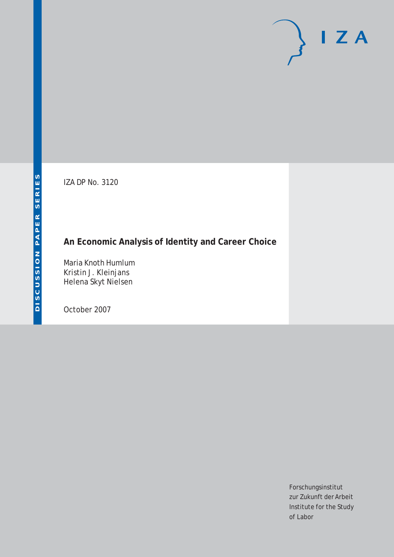# $I Z A$

IZA DP No. 3120

# **An Economic Analysis of Identity and Career Choice**

Maria Knoth Humlum Kristin J. Kleinjans Helena Skyt Nielsen

October 2007

Forschungsinstitut zur Zukunft der Arbeit Institute for the Study of Labor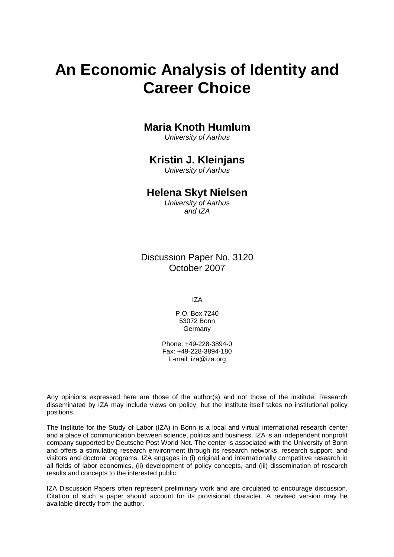# **An Economic Analysis of Identity and Career Choice**

# **Maria Knoth Humlum**

*University of Aarhus* 

# **Kristin J. Kleinjans**

*University of Aarhus* 

# **Helena Skyt Nielsen**

*University of Aarhus and IZA* 

Discussion Paper No. 3120 October 2007

IZA

P.O. Box 7240 53072 Bonn **Germany** 

Phone: +49-228-3894-0 Fax: +49-228-3894-180 E-mail: [iza@iza.org](mailto:iza@iza.org)

Any opinions expressed here are those of the author(s) and not those of the institute. Research disseminated by IZA may include views on policy, but the institute itself takes no institutional policy positions.

The Institute for the Study of Labor (IZA) in Bonn is a local and virtual international research center and a place of communication between science, politics and business. IZA is an independent nonprofit company supported by Deutsche Post World Net. The center is associated with the University of Bonn and offers a stimulating research environment through its research networks, research support, and visitors and doctoral programs. IZA engages in (i) original and internationally competitive research in all fields of labor economics, (ii) development of policy concepts, and (iii) dissemination of research results and concepts to the interested public.

IZA Discussion Papers often represent preliminary work and are circulated to encourage discussion. Citation of such a paper should account for its provisional character. A revised version may be available directly from the author.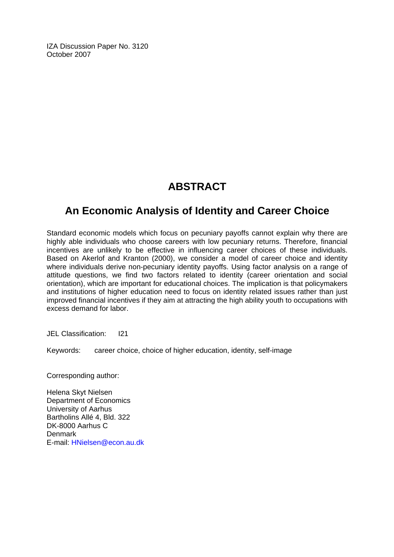IZA Discussion Paper No. 3120 October 2007

# **ABSTRACT**

# **An Economic Analysis of Identity and Career Choice**

Standard economic models which focus on pecuniary payoffs cannot explain why there are highly able individuals who choose careers with low pecuniary returns. Therefore, financial incentives are unlikely to be effective in influencing career choices of these individuals. Based on Akerlof and Kranton (2000), we consider a model of career choice and identity where individuals derive non-pecuniary identity payoffs. Using factor analysis on a range of attitude questions, we find two factors related to identity (career orientation and social orientation), which are important for educational choices. The implication is that policymakers and institutions of higher education need to focus on identity related issues rather than just improved financial incentives if they aim at attracting the high ability youth to occupations with excess demand for labor.

JEL Classification: I21

Keywords: career choice, choice of higher education, identity, self-image

Corresponding author:

Helena Skyt Nielsen Department of Economics University of Aarhus Bartholins Allé 4, Bld. 322 DK-8000 Aarhus C Denmark E-mail: [HNielsen@econ.au.dk](mailto:HNielsen@econ.au.dk)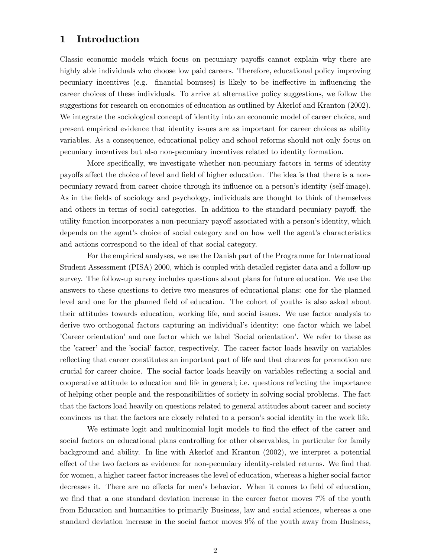### 1 Introduction

Classic economic models which focus on pecuniary payoffs cannot explain why there are highly able individuals who choose low paid careers. Therefore, educational policy improving pecuniary incentives (e.g. financial bonuses) is likely to be ineffective in influencing the career choices of these individuals. To arrive at alternative policy suggestions, we follow the suggestions for research on economics of education as outlined by Akerlof and Kranton (2002). We integrate the sociological concept of identity into an economic model of career choice, and present empirical evidence that identity issues are as important for career choices as ability variables. As a consequence, educational policy and school reforms should not only focus on pecuniary incentives but also non-pecuniary incentives related to identity formation.

More specifically, we investigate whether non-pecuniary factors in terms of identity payoffs affect the choice of level and field of higher education. The idea is that there is a nonpecuniary reward from career choice through its ináuence on a personís identity (self-image). As in the fields of sociology and psychology, individuals are thought to think of themselves and others in terms of social categories. In addition to the standard pecuniary payoff, the utility function incorporates a non-pecuniary payoff associated with a person's identity, which depends on the agent's choice of social category and on how well the agent's characteristics and actions correspond to the ideal of that social category.

For the empirical analyses, we use the Danish part of the Programme for International Student Assessment (PISA) 2000, which is coupled with detailed register data and a follow-up survey. The follow-up survey includes questions about plans for future education. We use the answers to these questions to derive two measures of educational plans: one for the planned level and one for the planned field of education. The cohort of youths is also asked about their attitudes towards education, working life, and social issues. We use factor analysis to derive two orthogonal factors capturing an individual's identity: one factor which we label íCareer orientationíand one factor which we label íSocial orientationí. We refer to these as the 'career' and the 'social' factor, respectively. The career factor loads heavily on variables reflecting that career constitutes an important part of life and that chances for promotion are crucial for career choice. The social factor loads heavily on variables reflecting a social and cooperative attitude to education and life in general; i.e. questions reflecting the importance of helping other people and the responsibilities of society in solving social problems. The fact that the factors load heavily on questions related to general attitudes about career and society convinces us that the factors are closely related to a person's social identity in the work life.

We estimate logit and multinomial logit models to find the effect of the career and social factors on educational plans controlling for other observables, in particular for family background and ability. In line with Akerlof and Kranton (2002), we interpret a potential effect of the two factors as evidence for non-pecuniary identity-related returns. We find that for women, a higher career factor increases the level of education, whereas a higher social factor decreases it. There are no effects for men's behavior. When it comes to field of education, we find that a one standard deviation increase in the career factor moves  $7\%$  of the youth from Education and humanities to primarily Business, law and social sciences, whereas a one standard deviation increase in the social factor moves 9% of the youth away from Business,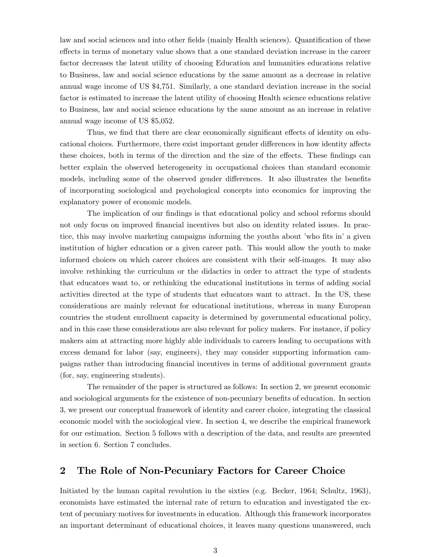law and social sciences and into other fields (mainly Health sciences). Quantification of these effects in terms of monetary value shows that a one standard deviation increase in the career factor decreases the latent utility of choosing Education and humanities educations relative to Business, law and social science educations by the same amount as a decrease in relative annual wage income of US \$4,751. Similarly, a one standard deviation increase in the social factor is estimated to increase the latent utility of choosing Health science educations relative to Business, law and social science educations by the same amount as an increase in relative annual wage income of US \$5,052.

Thus, we find that there are clear economically significant effects of identity on educational choices. Furthermore, there exist important gender differences in how identity affects these choices, both in terms of the direction and the size of the effects. These findings can better explain the observed heterogeneity in occupational choices than standard economic models, including some of the observed gender differences. It also illustrates the benefits of incorporating sociological and psychological concepts into economics for improving the explanatory power of economic models.

The implication of our findings is that educational policy and school reforms should not only focus on improved financial incentives but also on identity related issues. In practice, this may involve marketing campaigns informing the youths about 'who fits in' a given institution of higher education or a given career path. This would allow the youth to make informed choices on which career choices are consistent with their self-images. It may also involve rethinking the curriculum or the didactics in order to attract the type of students that educators want to, or rethinking the educational institutions in terms of adding social activities directed at the type of students that educators want to attract. In the US, these considerations are mainly relevant for educational institutions, whereas in many European countries the student enrollment capacity is determined by governmental educational policy, and in this case these considerations are also relevant for policy makers. For instance, if policy makers aim at attracting more highly able individuals to careers leading to occupations with excess demand for labor (say, engineers), they may consider supporting information campaigns rather than introducing Önancial incentives in terms of additional government grants (for, say, engineering students).

The remainder of the paper is structured as follows: In section 2, we present economic and sociological arguments for the existence of non-pecuniary benefits of education. In section 3, we present our conceptual framework of identity and career choice, integrating the classical economic model with the sociological view. In section 4, we describe the empirical framework for our estimation. Section 5 follows with a description of the data, and results are presented in section 6. Section 7 concludes.

### 2 The Role of Non-Pecuniary Factors for Career Choice

Initiated by the human capital revolution in the sixties (e.g. Becker, 1964; Schultz, 1963), economists have estimated the internal rate of return to education and investigated the extent of pecuniary motives for investments in education. Although this framework incorporates an important determinant of educational choices, it leaves many questions unanswered, such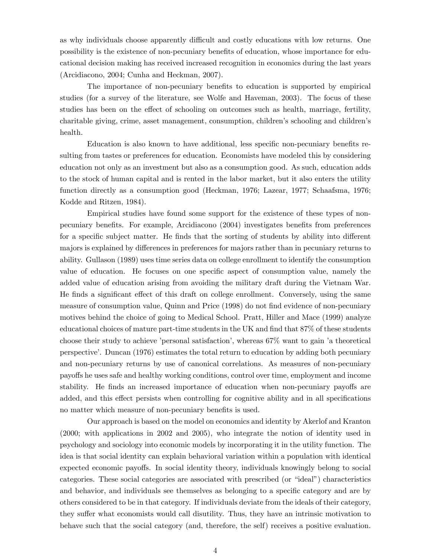as why individuals choose apparently difficult and costly educations with low returns. One possibility is the existence of non-pecuniary benefits of education, whose importance for educational decision making has received increased recognition in economics during the last years (Arcidiacono, 2004; Cunha and Heckman, 2007).

The importance of non-pecuniary benefits to education is supported by empirical studies (for a survey of the literature, see Wolfe and Haveman, 2003). The focus of these studies has been on the effect of schooling on outcomes such as health, marriage, fertility, charitable giving, crime, asset management, consumption, children's schooling and children's health.

Education is also known to have additional, less specific non-pecuniary benefits resulting from tastes or preferences for education. Economists have modeled this by considering education not only as an investment but also as a consumption good. As such, education adds to the stock of human capital and is rented in the labor market, but it also enters the utility function directly as a consumption good (Heckman, 1976; Lazear, 1977; Schaafsma, 1976; Kodde and Ritzen, 1984).

Empirical studies have found some support for the existence of these types of nonpecuniary benefits. For example, Arcidiacono  $(2004)$  investigates benefits from preferences for a specific subject matter. He finds that the sorting of students by ability into different majors is explained by differences in preferences for majors rather than in pecuniary returns to ability. Gullason (1989) uses time series data on college enrollment to identify the consumption value of education. He focuses on one specific aspect of consumption value, namely the added value of education arising from avoiding the military draft during the Vietnam War. He finds a significant effect of this draft on college enrollment. Conversely, using the same measure of consumption value, Quinn and Price (1998) do not find evidence of non-pecuniary motives behind the choice of going to Medical School. Pratt, Hiller and Mace (1999) analyze educational choices of mature part-time students in the UK and find that 87% of these students choose their study to achieve 'personal satisfaction', whereas  $67\%$  want to gain 'a theoretical perspectiveí. Duncan (1976) estimates the total return to education by adding both pecuniary and non-pecuniary returns by use of canonical correlations. As measures of non-pecuniary payo§s he uses safe and healthy working conditions, control over time, employment and income stability. He finds an increased importance of education when non-pecuniary payoffs are added, and this effect persists when controlling for cognitive ability and in all specifications no matter which measure of non-pecuniary benefits is used.

Our approach is based on the model on economics and identity by Akerlof and Kranton (2000; with applications in 2002 and 2005), who integrate the notion of identity used in psychology and sociology into economic models by incorporating it in the utility function. The idea is that social identity can explain behavioral variation within a population with identical expected economic payoffs. In social identity theory, individuals knowingly belong to social categories. These social categories are associated with prescribed (or "ideal") characteristics and behavior, and individuals see themselves as belonging to a specific category and are by others considered to be in that category. If individuals deviate from the ideals of their category, they suffer what economists would call disutility. Thus, they have an intrinsic motivation to behave such that the social category (and, therefore, the self) receives a positive evaluation.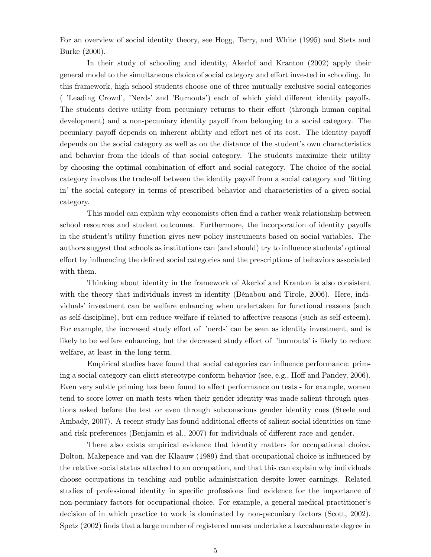For an overview of social identity theory, see Hogg, Terry, and White (1995) and Stets and Burke (2000).

In their study of schooling and identity, Akerlof and Kranton (2002) apply their general model to the simultaneous choice of social category and effort invested in schooling. In this framework, high school students choose one of three mutually exclusive social categories ( *iLeading Crowd'*, *Nerds'* and *'Burnouts'*) each of which yield different identity payoffs. The students derive utility from pecuniary returns to their effort (through human capital development) and a non-pecuniary identity payoff from belonging to a social category. The pecuniary payoff depends on inherent ability and effort net of its cost. The identity payoff depends on the social category as well as on the distance of the student's own characteristics and behavior from the ideals of that social category. The students maximize their utility by choosing the optimal combination of effort and social category. The choice of the social category involves the trade-off between the identity payoff from a social category and 'fitting in' the social category in terms of prescribed behavior and characteristics of a given social category.

This model can explain why economists often find a rather weak relationship between school resources and student outcomes. Furthermore, the incorporation of identity payoffs in the student's utility function gives new policy instruments based on social variables. The authors suggest that schools as institutions can (and should) try to influence students' optimal effort by influencing the defined social categories and the prescriptions of behaviors associated with them.

Thinking about identity in the framework of Akerlof and Kranton is also consistent with the theory that individuals invest in identity (Bénabou and Tirole, 2006). Here, individuals' investment can be welfare enhancing when undertaken for functional reasons (such as self-discipline), but can reduce welfare if related to affective reasons (such as self-esteem). For example, the increased study effort of 'nerds' can be seen as identity investment, and is likely to be welfare enhancing, but the decreased study effort of 'burnouts' is likely to reduce welfare, at least in the long term.

Empirical studies have found that social categories can ináuence performance: priming a social category can elicit stereotype-conform behavior (see, e.g., Hoff and Pandey, 2006). Even very subtle priming has been found to affect performance on tests - for example, women tend to score lower on math tests when their gender identity was made salient through questions asked before the test or even through subconscious gender identity cues (Steele and Ambady, 2007). A recent study has found additional effects of salient social identities on time and risk preferences (Benjamin et al., 2007) for individuals of different race and gender.

There also exists empirical evidence that identity matters for occupational choice. Dolton, Makepeace and van der Klaauw (1989) Önd that occupational choice is ináuenced by the relative social status attached to an occupation, and that this can explain why individuals choose occupations in teaching and public administration despite lower earnings. Related studies of professional identity in specific professions find evidence for the importance of non-pecuniary factors for occupational choice. For example, a general medical practitioner's decision of in which practice to work is dominated by non-pecuniary factors (Scott, 2002). Spetz (2002) finds that a large number of registered nurses undertake a baccalaureate degree in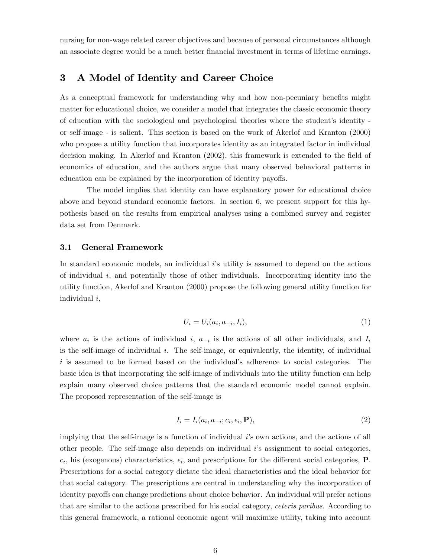nursing for non-wage related career objectives and because of personal circumstances although an associate degree would be a much better financial investment in terms of lifetime earnings.

### 3 A Model of Identity and Career Choice

As a conceptual framework for understanding why and how non-pecuniary benefits might matter for educational choice, we consider a model that integrates the classic economic theory of education with the sociological and psychological theories where the studentís identity or self-image - is salient. This section is based on the work of Akerlof and Kranton (2000) who propose a utility function that incorporates identity as an integrated factor in individual decision making. In Akerlof and Kranton (2002), this framework is extended to the field of economics of education, and the authors argue that many observed behavioral patterns in education can be explained by the incorporation of identity payoffs.

The model implies that identity can have explanatory power for educational choice above and beyond standard economic factors. In section 6, we present support for this hypothesis based on the results from empirical analyses using a combined survey and register data set from Denmark.

### 3.1 General Framework

In standard economic models, an individual  $i$ 's utility is assumed to depend on the actions of individual  $i$ , and potentially those of other individuals. Incorporating identity into the utility function, Akerlof and Kranton (2000) propose the following general utility function for individual i,

$$
U_i = U_i(a_i, a_{-i}, I_i), \t\t(1)
$$

where  $a_i$  is the actions of individual i,  $a_{-i}$  is the actions of all other individuals, and  $I_i$ is the self-image of individual  $i$ . The self-image, or equivalently, the identity, of individual  $i$  is assumed to be formed based on the individual's adherence to social categories. The basic idea is that incorporating the self-image of individuals into the utility function can help explain many observed choice patterns that the standard economic model cannot explain. The proposed representation of the self-image is

$$
I_i = I_i(a_i, a_{-i}; c_i, \epsilon_i, \mathbf{P}),
$$
\n(2)

implying that the self-image is a function of individual i's own actions, and the actions of all other people. The self-image also depends on individual iís assignment to social categories,  $c_i$ , his (exogenous) characteristics,  $\epsilon_i$ , and prescriptions for the different social categories, **P**. Prescriptions for a social category dictate the ideal characteristics and the ideal behavior for that social category. The prescriptions are central in understanding why the incorporation of identity payoffs can change predictions about choice behavior. An individual will prefer actions that are similar to the actions prescribed for his social category, ceteris paribus. According to this general framework, a rational economic agent will maximize utility, taking into account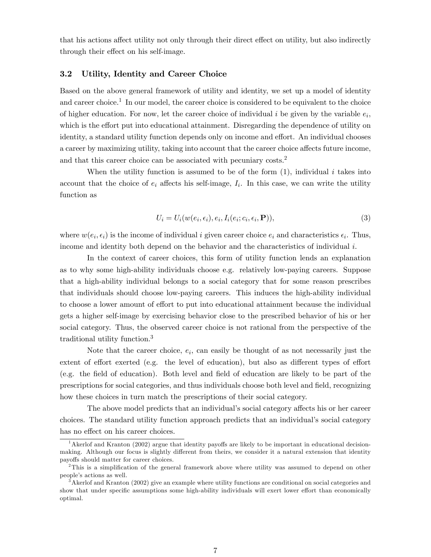that his actions affect utility not only through their direct effect on utility, but also indirectly through their effect on his self-image.

### 3.2 Utility, Identity and Career Choice

Based on the above general framework of utility and identity, we set up a model of identity and career choice.<sup>1</sup> In our model, the career choice is considered to be equivalent to the choice of higher education. For now, let the career choice of individual i be given by the variable  $e_i$ , which is the effort put into educational attainment. Disregarding the dependence of utility on identity, a standard utility function depends only on income and effort. An individual chooses a career by maximizing utility, taking into account that the career choice affects future income, and that this career choice can be associated with pecuniary costs.<sup>2</sup>

When the utility function is assumed to be of the form  $(1)$ , individual i takes into account that the choice of  $e_i$  affects his self-image,  $I_i$ . In this case, we can write the utility function as

$$
U_i = U_i(w(e_i, \epsilon_i), e_i, I_i(e_i; c_i, \epsilon_i, \mathbf{P})),
$$
\n
$$
(3)
$$

where  $w(e_i, \epsilon_i)$  is the income of individual i given career choice  $e_i$  and characteristics  $\epsilon_i$ . Thus, income and identity both depend on the behavior and the characteristics of individual  $i$ .

In the context of career choices, this form of utility function lends an explanation as to why some high-ability individuals choose e.g. relatively low-paying careers. Suppose that a high-ability individual belongs to a social category that for some reason prescribes that individuals should choose low-paying careers. This induces the high-ability individual to choose a lower amount of effort to put into educational attainment because the individual gets a higher self-image by exercising behavior close to the prescribed behavior of his or her social category. Thus, the observed career choice is not rational from the perspective of the traditional utility function.<sup>3</sup>

Note that the career choice,  $e_i$ , can easily be thought of as not necessarily just the extent of effort exerted (e.g. the level of education), but also as different types of effort (e.g. the Öeld of education). Both level and Öeld of education are likely to be part of the prescriptions for social categories, and thus individuals choose both level and Öeld, recognizing how these choices in turn match the prescriptions of their social category.

The above model predicts that an individual's social category affects his or her career choices. The standard utility function approach predicts that an individual's social category has no effect on his career choices.

<sup>&</sup>lt;sup>1</sup> Akerlof and Kranton (2002) argue that identity payoffs are likely to be important in educational decisionmaking. Although our focus is slightly different from theirs, we consider it a natural extension that identity payoffs should matter for career choices.

 $2$ This is a simplification of the general framework above where utility was assumed to depend on other people's actions as well.

<sup>3</sup>Akerlof and Kranton (2002) give an example where utility functions are conditional on social categories and show that under specific assumptions some high-ability individuals will exert lower effort than economically optimal.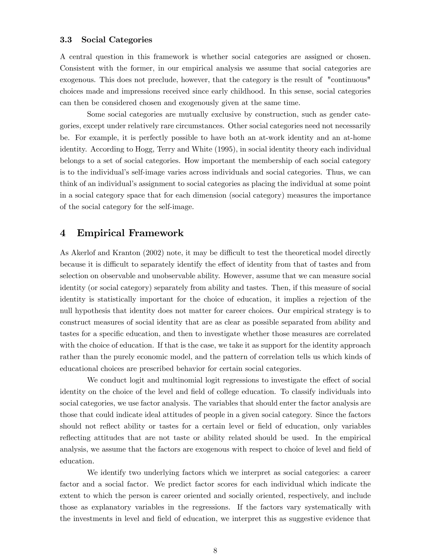### 3.3 Social Categories

A central question in this framework is whether social categories are assigned or chosen. Consistent with the former, in our empirical analysis we assume that social categories are exogenous. This does not preclude, however, that the category is the result of "continuous" choices made and impressions received since early childhood. In this sense, social categories can then be considered chosen and exogenously given at the same time.

Some social categories are mutually exclusive by construction, such as gender categories, except under relatively rare circumstances. Other social categories need not necessarily be. For example, it is perfectly possible to have both an at-work identity and an at-home identity. According to Hogg, Terry and White (1995), in social identity theory each individual belongs to a set of social categories. How important the membership of each social category is to the individual's self-image varies across individuals and social categories. Thus, we can think of an individualís assignment to social categories as placing the individual at some point in a social category space that for each dimension (social category) measures the importance of the social category for the self-image.

### 4 Empirical Framework

As Akerlof and Kranton (2002) note, it may be difficult to test the theoretical model directly because it is difficult to separately identify the effect of identity from that of tastes and from selection on observable and unobservable ability. However, assume that we can measure social identity (or social category) separately from ability and tastes. Then, if this measure of social identity is statistically important for the choice of education, it implies a rejection of the null hypothesis that identity does not matter for career choices. Our empirical strategy is to construct measures of social identity that are as clear as possible separated from ability and tastes for a specific education, and then to investigate whether those measures are correlated with the choice of education. If that is the case, we take it as support for the identity approach rather than the purely economic model, and the pattern of correlation tells us which kinds of educational choices are prescribed behavior for certain social categories.

We conduct logit and multinomial logit regressions to investigate the effect of social identity on the choice of the level and field of college education. To classify individuals into social categories, we use factor analysis. The variables that should enter the factor analysis are those that could indicate ideal attitudes of people in a given social category. Since the factors should not reflect ability or tastes for a certain level or field of education, only variables reflecting attitudes that are not taste or ability related should be used. In the empirical analysis, we assume that the factors are exogenous with respect to choice of level and field of education.

We identify two underlying factors which we interpret as social categories: a career factor and a social factor. We predict factor scores for each individual which indicate the extent to which the person is career oriented and socially oriented, respectively, and include those as explanatory variables in the regressions. If the factors vary systematically with the investments in level and field of education, we interpret this as suggestive evidence that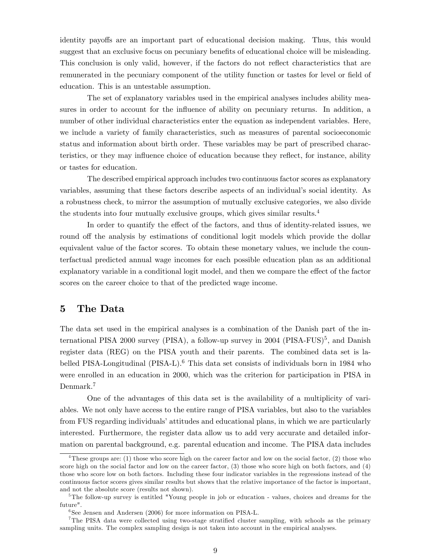identity payoffs are an important part of educational decision making. Thus, this would suggest that an exclusive focus on pecuniary benefits of educational choice will be misleading. This conclusion is only valid, however, if the factors do not reflect characteristics that are remunerated in the pecuniary component of the utility function or tastes for level or field of education. This is an untestable assumption.

The set of explanatory variables used in the empirical analyses includes ability measures in order to account for the influence of ability on pecuniary returns. In addition, a number of other individual characteristics enter the equation as independent variables. Here, we include a variety of family characteristics, such as measures of parental socioeconomic status and information about birth order. These variables may be part of prescribed characteristics, or they may influence choice of education because they reflect, for instance, ability or tastes for education.

The described empirical approach includes two continuous factor scores as explanatory variables, assuming that these factors describe aspects of an individual's social identity. As a robustness check, to mirror the assumption of mutually exclusive categories, we also divide the students into four mutually exclusive groups, which gives similar results.<sup>4</sup>

In order to quantify the effect of the factors, and thus of identity-related issues, we round off the analysis by estimations of conditional logit models which provide the dollar equivalent value of the factor scores. To obtain these monetary values, we include the counterfactual predicted annual wage incomes for each possible education plan as an additional explanatory variable in a conditional logit model, and then we compare the effect of the factor scores on the career choice to that of the predicted wage income.

### 5 The Data

The data set used in the empirical analyses is a combination of the Danish part of the international PISA 2000 survey (PISA), a follow-up survey in 2004 (PISA-FUS)<sup>5</sup>, and Danish register data (REG) on the PISA youth and their parents. The combined data set is labelled PISA-Longitudinal (PISA-L).<sup>6</sup> This data set consists of individuals born in 1984 who were enrolled in an education in 2000, which was the criterion for participation in PISA in Denmark.<sup>7</sup>

One of the advantages of this data set is the availability of a multiplicity of variables. We not only have access to the entire range of PISA variables, but also to the variables from FUS regarding individuals' attitudes and educational plans, in which we are particularly interested. Furthermore, the register data allow us to add very accurate and detailed information on parental background, e.g. parental education and income. The PISA data includes

<sup>&</sup>lt;sup>4</sup>These groups are: (1) those who score high on the career factor and low on the social factor, (2) those who score high on the social factor and low on the career factor, (3) those who score high on both factors, and (4) those who score low on both factors. Including these four indicator variables in the regressions instead of the continuous factor scores gives similar results but shows that the relative importance of the factor is important, and not the absolute score (results not shown).

<sup>&</sup>lt;sup>5</sup>The follow-up survey is entitled "Young people in job or education - values, choices and dreams for the future".

<sup>6</sup> See Jensen and Andersen (2006) for more information on PISA-L.

<sup>&</sup>lt;sup>7</sup>The PISA data were collected using two-stage stratified cluster sampling, with schools as the primary sampling units. The complex sampling design is not taken into account in the empirical analyses.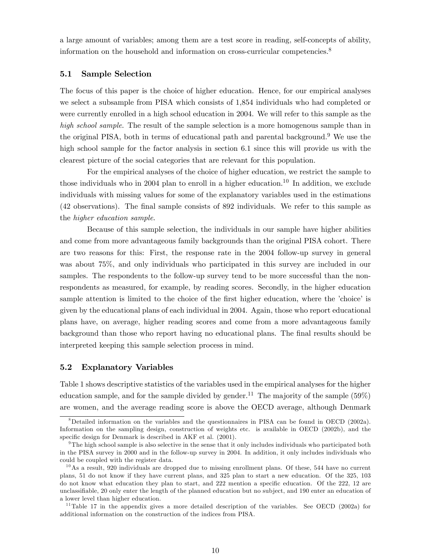a large amount of variables; among them are a test score in reading, self-concepts of ability, information on the household and information on cross-curricular competencies.<sup>8</sup>

### 5.1 Sample Selection

The focus of this paper is the choice of higher education. Hence, for our empirical analyses we select a subsample from PISA which consists of 1,854 individuals who had completed or were currently enrolled in a high school education in 2004. We will refer to this sample as the high school sample. The result of the sample selection is a more homogenous sample than in the original PISA, both in terms of educational path and parental background.<sup>9</sup> We use the high school sample for the factor analysis in section 6.1 since this will provide us with the clearest picture of the social categories that are relevant for this population.

For the empirical analyses of the choice of higher education, we restrict the sample to those individuals who in 2004 plan to enroll in a higher education.<sup>10</sup> In addition, we exclude individuals with missing values for some of the explanatory variables used in the estimations (42 observations). The Önal sample consists of 892 individuals. We refer to this sample as the higher education sample.

Because of this sample selection, the individuals in our sample have higher abilities and come from more advantageous family backgrounds than the original PISA cohort. There are two reasons for this: First, the response rate in the 2004 follow-up survey in general was about 75%, and only individuals who participated in this survey are included in our samples. The respondents to the follow-up survey tend to be more successful than the nonrespondents as measured, for example, by reading scores. Secondly, in the higher education sample attention is limited to the choice of the first higher education, where the 'choice' is given by the educational plans of each individual in 2004. Again, those who report educational plans have, on average, higher reading scores and come from a more advantageous family background than those who report having no educational plans. The Önal results should be interpreted keeping this sample selection process in mind.

### 5.2 Explanatory Variables

Table 1 shows descriptive statistics of the variables used in the empirical analyses for the higher education sample, and for the sample divided by gender.<sup>11</sup> The majority of the sample  $(59\%)$ are women, and the average reading score is above the OECD average, although Denmark

<sup>&</sup>lt;sup>8</sup>Detailed information on the variables and the questionnaires in PISA can be found in OECD (2002a). Information on the sampling design, construction of weights etc. is available in OECD (2002b), and the specific design for Denmark is described in AKF et al. (2001).

 $9$ The high school sample is also selective in the sense that it only includes individuals who participated both in the PISA survey in 2000 and in the follow-up survey in 2004. In addition, it only includes individuals who could be coupled with the register data.

 $10$ As a result, 920 individuals are dropped due to missing enrollment plans. Of these, 544 have no current plans, 51 do not know if they have current plans, and 325 plan to start a new education. Of the 325, 103 do not know what education they plan to start, and 222 mention a specific education. Of the 222, 12 are unclassifiable, 20 only enter the length of the planned education but no subject, and 190 enter an education of a lower level than higher education.

<sup>&</sup>lt;sup>11</sup>Table 17 in the appendix gives a more detailed description of the variables. See OECD (2002a) for additional information on the construction of the indices from PISA.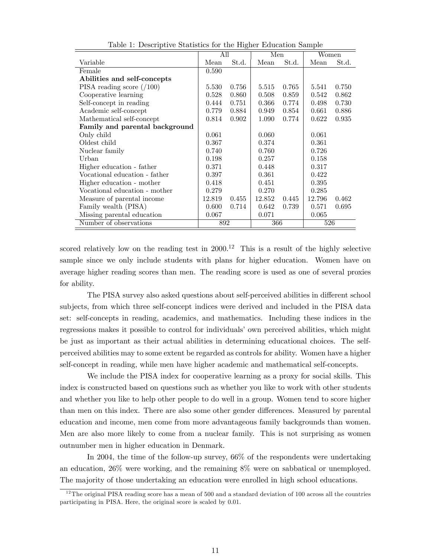|                                | All    |       | Men    |       | Women  |       |
|--------------------------------|--------|-------|--------|-------|--------|-------|
| Variable                       | Mean   | St.d. | Mean   | St.d. | Mean   | St.d. |
| Female                         | 0.590  |       |        |       |        |       |
| Abilities and self-concepts    |        |       |        |       |        |       |
| PISA reading score $(100)$     | 5.530  | 0.756 | 5.515  | 0.765 | 5.541  | 0.750 |
| Cooperative learning           | 0.528  | 0.860 | 0.508  | 0.859 | 0.542  | 0.862 |
| Self-concept in reading        | 0.444  | 0.751 | 0.366  | 0.774 | 0.498  | 0.730 |
| Academic self-concept          | 0.779  | 0.884 | 0.949  | 0.854 | 0.661  | 0.886 |
| Mathematical self-concept      | 0.814  | 0.902 | 1.090  | 0.774 | 0.622  | 0.935 |
| Family and parental background |        |       |        |       |        |       |
| Only child                     | 0.061  |       | 0.060  |       | 0.061  |       |
| Oldest child                   | 0.367  |       | 0.374  |       | 0.361  |       |
| Nuclear family                 | 0.740  |       | 0.760  |       | 0.726  |       |
| Urban                          | 0.198  |       | 0.257  |       | 0.158  |       |
| Higher education - father      | 0.371  |       | 0.448  |       | 0.317  |       |
| Vocational education - father  | 0.397  |       | 0.361  |       | 0.422  |       |
| Higher education - mother      | 0.418  |       | 0.451  |       | 0.395  |       |
| Vocational education - mother  | 0.279  |       | 0.270  |       | 0.285  |       |
| Measure of parental income     | 12.819 | 0.455 | 12.852 | 0.445 | 12.796 | 0.462 |
| Family wealth (PISA)           | 0.600  | 0.714 | 0.642  | 0.739 | 0.571  | 0.695 |
| Missing parental education     | 0.067  |       | 0.071  |       | 0.065  |       |
| Number of observations         | 892    |       | 366    |       | 526    |       |

Table 1: Descriptive Statistics for the Higher Education Sample

scored relatively low on the reading test in  $2000<sup>12</sup>$  This is a result of the highly selective sample since we only include students with plans for higher education. Women have on average higher reading scores than men. The reading score is used as one of several proxies for ability.

The PISA survey also asked questions about self-perceived abilities in different school subjects, from which three self-concept indices were derived and included in the PISA data set: self-concepts in reading, academics, and mathematics. Including these indices in the regressions makes it possible to control for individuals' own perceived abilities, which might be just as important as their actual abilities in determining educational choices. The selfperceived abilities may to some extent be regarded as controls for ability. Women have a higher self-concept in reading, while men have higher academic and mathematical self-concepts.

We include the PISA index for cooperative learning as a proxy for social skills. This index is constructed based on questions such as whether you like to work with other students and whether you like to help other people to do well in a group. Women tend to score higher than men on this index. There are also some other gender differences. Measured by parental education and income, men come from more advantageous family backgrounds than women. Men are also more likely to come from a nuclear family. This is not surprising as women outnumber men in higher education in Denmark.

In 2004, the time of the follow-up survey, 66% of the respondents were undertaking an education, 26% were working, and the remaining 8% were on sabbatical or unemployed. The majority of those undertaking an education were enrolled in high school educations.

<sup>&</sup>lt;sup>12</sup>The original PISA reading score has a mean of  $500$  and a standard deviation of 100 across all the countries participating in PISA. Here, the original score is scaled by 0.01.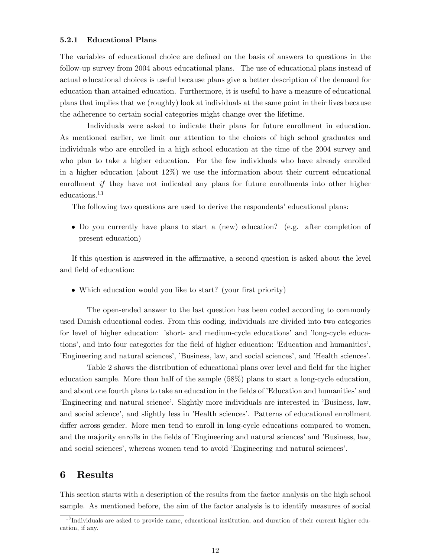### 5.2.1 Educational Plans

The variables of educational choice are defined on the basis of answers to questions in the follow-up survey from 2004 about educational plans. The use of educational plans instead of actual educational choices is useful because plans give a better description of the demand for education than attained education. Furthermore, it is useful to have a measure of educational plans that implies that we (roughly) look at individuals at the same point in their lives because the adherence to certain social categories might change over the lifetime.

Individuals were asked to indicate their plans for future enrollment in education. As mentioned earlier, we limit our attention to the choices of high school graduates and individuals who are enrolled in a high school education at the time of the 2004 survey and who plan to take a higher education. For the few individuals who have already enrolled in a higher education (about 12%) we use the information about their current educational enrollment *if* they have not indicated any plans for future enrollments into other higher educations.<sup>13</sup>

The following two questions are used to derive the respondents' educational plans:

 Do you currently have plans to start a (new) education? (e.g. after completion of present education)

If this question is answered in the affirmative, a second question is asked about the level and field of education:

• Which education would you like to start? (your first priority)

The open-ended answer to the last question has been coded according to commonly used Danish educational codes. From this coding, individuals are divided into two categories for level of higher education: 'short- and medium-cycle educations' and 'long-cycle educations', and into four categories for the field of higher education: 'Education and humanities', Engineering and natural sciences', 'Business, law, and social sciences', and 'Health sciences'.

Table 2 shows the distribution of educational plans over level and field for the higher education sample. More than half of the sample (58%) plans to start a long-cycle education, and about one fourth plans to take an education in the fields of 'Education and humanities' and Engineering and natural science'. Slightly more individuals are interested in 'Business, law, and social science', and slightly less in 'Health sciences'. Patterns of educational enrollment differ across gender. More men tend to enroll in long-cycle educations compared to women, and the majority enrolls in the fields of *'Engineering and natural sciences'* and *'Business*, law, and social sciences<sup>'</sup>, whereas women tend to avoid 'Engineering and natural sciences'.

### 6 Results

This section starts with a description of the results from the factor analysis on the high school sample. As mentioned before, the aim of the factor analysis is to identify measures of social

 $13$  Individuals are asked to provide name, educational institution, and duration of their current higher education, if any.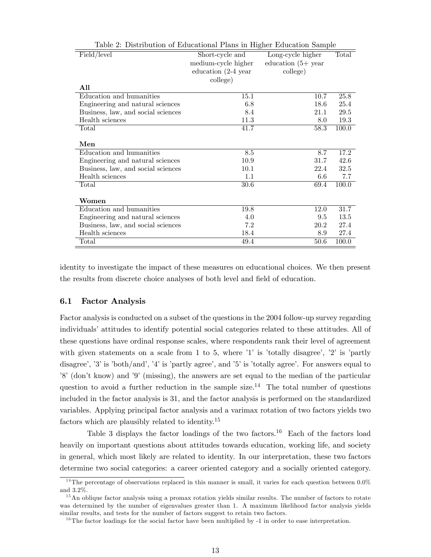| Field/level                        | Short-cycle and        | Long-cycle higher    | Total |
|------------------------------------|------------------------|----------------------|-------|
|                                    | medium-cycle higher    | education $(5+$ year |       |
|                                    | education $(2-4)$ year | college)             |       |
|                                    | college)               |                      |       |
| All                                |                        |                      |       |
| Education and humanities           | 15.1                   | 10.7                 | 25.8  |
| Engineering and natural sciences   | 6.8                    | 18.6                 | 25.4  |
| Business, law, and social sciences | 8.4                    | 21.1                 | 29.5  |
| Health sciences                    | 11.3                   | 8.0                  | 19.3  |
| Total                              | 41.7                   | 58.3                 | 100.0 |
|                                    |                        |                      |       |
| $\mathbf{Men}$                     |                        |                      |       |
| Education and humanities           | 8.5                    | 8.7                  | 17.2  |
| Engineering and natural sciences   | 10.9                   | 31.7                 | 42.6  |
| Business, law, and social sciences | 10.1                   | 22.4                 | 32.5  |
| Health sciences                    | 1.1                    | 6.6                  | 7.7   |
| Total                              | 30.6                   | 69.4                 | 100.0 |
|                                    |                        |                      |       |
| Women                              |                        |                      |       |
| Education and humanities           | 19.8                   | 12.0                 | 31.7  |
| Engineering and natural sciences   | 4.0                    | 9.5                  | 13.5  |
| Business, law, and social sciences | 7.2                    | 20.2                 | 27.4  |
| Health sciences                    | 18.4                   | 8.9                  | 27.4  |
| Total                              | 49.4                   | 50.6                 | 100.0 |

Table 2: Distribution of Educational Plans in Higher Education Sample

identity to investigate the impact of these measures on educational choices. We then present the results from discrete choice analyses of both level and field of education.

### 6.1 Factor Analysis

Factor analysis is conducted on a subset of the questions in the 2004 follow-up survey regarding individuals' attitudes to identify potential social categories related to these attitudes. All of these questions have ordinal response scales, where respondents rank their level of agreement with given statements on a scale from 1 to 5, where  $\dot{1}$  is 'totally disagree',  $\dot{2}$  is 'partly disagree', '3' is 'both/and', '4' is 'partly agree', and '5' is 'totally agree'. For answers equal to  $8^\circ$  (don't know) and  $9^\circ$  (missing), the answers are set equal to the median of the particular question to avoid a further reduction in the sample size.<sup>14</sup> The total number of questions included in the factor analysis is 31, and the factor analysis is performed on the standardized variables. Applying principal factor analysis and a varimax rotation of two factors yields two factors which are plausibly related to identity.<sup>15</sup>

Table 3 displays the factor loadings of the two factors.<sup>16</sup> Each of the factors load heavily on important questions about attitudes towards education, working life, and society in general, which most likely are related to identity. In our interpretation, these two factors determine two social categories: a career oriented category and a socially oriented category.

<sup>&</sup>lt;sup>14</sup>The percentage of observations replaced in this manner is small, it varies for each question between  $0.0\%$ and 3.2%.

<sup>&</sup>lt;sup>15</sup>An oblique factor analysis using a promax rotation yields similar results. The number of factors to rotate was determined by the number of eigenvalues greater than 1. A maximum likelihood factor analysis yields similar results, and tests for the number of factors suggest to retain two factors.

<sup>&</sup>lt;sup>16</sup>The factor loadings for the social factor have been multiplied by  $-1$  in order to ease interpretation.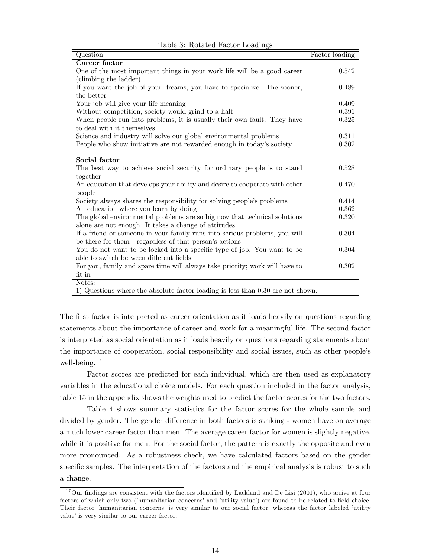| Question                                                                        | Factor loading |
|---------------------------------------------------------------------------------|----------------|
| Career factor                                                                   |                |
| One of the most important things in your work life will be a good career        | 0.542          |
| (climbing the ladder)                                                           |                |
| If you want the job of your dreams, you have to specialize. The sooner,         | 0.489          |
| the better                                                                      |                |
| Your job will give your life meaning                                            | 0.409          |
| Without competition, society would grind to a halt                              | 0.391          |
| When people run into problems, it is usually their own fault. They have         | 0.325          |
| to deal with it themselves                                                      |                |
| Science and industry will solve our global environmental problems               | 0.311          |
| People who show initiative are not rewarded enough in today's society           | 0.302          |
|                                                                                 |                |
| Social factor                                                                   |                |
| The best way to achieve social security for ordinary people is to stand         | 0.528          |
| together                                                                        |                |
| An education that develops your ability and desire to cooperate with other      | 0.470          |
| people                                                                          |                |
| Society always shares the responsibility for solving people's problems          | 0.414          |
| An education where you learn by doing                                           | 0.362          |
| The global environmental problems are so big now that technical solutions       | 0.320          |
| alone are not enough. It takes a change of attitudes                            |                |
| If a friend or someone in your family runs into serious problems, you will      | 0.304          |
| be there for them - regardless of that person's actions                         |                |
| You do not want to be locked into a specific type of job. You want to be        | 0.304          |
| able to switch between different fields                                         |                |
| For you, family and spare time will always take priority; work will have to     | 0.302          |
| $fit$ in                                                                        |                |
| Notes:                                                                          |                |
| 1) Questions where the absolute factor loading is less than 0.30 are not shown. |                |

Table 3: Rotated Factor Loadings

The first factor is interpreted as career orientation as it loads heavily on questions regarding statements about the importance of career and work for a meaningful life. The second factor is interpreted as social orientation as it loads heavily on questions regarding statements about the importance of cooperation, social responsibility and social issues, such as other people's well-being.<sup>17</sup>

Factor scores are predicted for each individual, which are then used as explanatory variables in the educational choice models. For each question included in the factor analysis, table 15 in the appendix shows the weights used to predict the factor scores for the two factors.

Table 4 shows summary statistics for the factor scores for the whole sample and divided by gender. The gender difference in both factors is striking - women have on average a much lower career factor than men. The average career factor for women is slightly negative, while it is positive for men. For the social factor, the pattern is exactly the opposite and even more pronounced. As a robustness check, we have calculated factors based on the gender specific samples. The interpretation of the factors and the empirical analysis is robust to such a change.

 $17$ Our findings are consistent with the factors identified by Lackland and De Lisi (2001), who arrive at four factors of which only two ('humanitarian concerns' and 'utility value') are found to be related to field choice. Their factor 'humanitarian concerns' is very similar to our social factor, whereas the factor labeled 'utility value' is very similar to our career factor.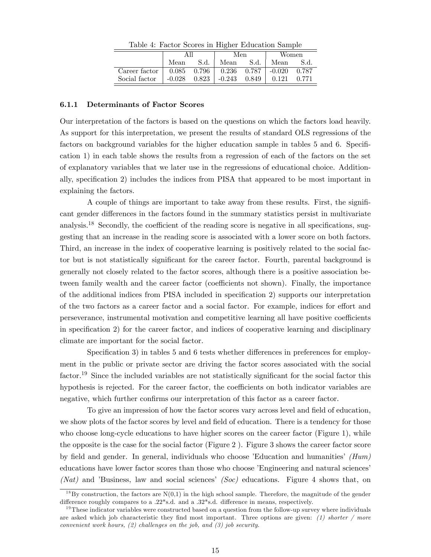|               |           |       | Men            |      | Women    |       |
|---------------|-----------|-------|----------------|------|----------|-------|
|               | Mean      | S.d.  | Mean           | S.d. | Mean     | S.d.  |
| Career factor | $0.085\,$ | 0.796 | $0.236$ 0.787  |      | $-0.020$ | 0.787 |
| Social factor | $-0.028$  | 0.823 | $-0.243$ 0.849 |      | 0.121    | 0.771 |

Table 4: Factor Scores in Higher Education Sample

### 6.1.1 Determinants of Factor Scores

Our interpretation of the factors is based on the questions on which the factors load heavily. As support for this interpretation, we present the results of standard OLS regressions of the factors on background variables for the higher education sample in tables 5 and 6. Specification 1) in each table shows the results from a regression of each of the factors on the set of explanatory variables that we later use in the regressions of educational choice. Additionally, specification 2) includes the indices from PISA that appeared to be most important in explaining the factors.

A couple of things are important to take away from these results. First, the signiÖcant gender differences in the factors found in the summary statistics persist in multivariate analysis.<sup>18</sup> Secondly, the coefficient of the reading score is negative in all specifications, suggesting that an increase in the reading score is associated with a lower score on both factors. Third, an increase in the index of cooperative learning is positively related to the social factor but is not statistically significant for the career factor. Fourth, parental background is generally not closely related to the factor scores, although there is a positive association between family wealth and the career factor (coefficients not shown). Finally, the importance of the additional indices from PISA included in specification 2) supports our interpretation of the two factors as a career factor and a social factor. For example, indices for effort and perseverance, instrumental motivation and competitive learning all have positive coefficients in specification 2) for the career factor, and indices of cooperative learning and disciplinary climate are important for the social factor.

Specification 3) in tables 5 and 6 tests whether differences in preferences for employment in the public or private sector are driving the factor scores associated with the social factor.<sup>19</sup> Since the included variables are not statistically significant for the social factor this hypothesis is rejected. For the career factor, the coefficients on both indicator variables are negative, which further confirms our interpretation of this factor as a career factor.

To give an impression of how the factor scores vary across level and field of education, we show plots of the factor scores by level and field of education. There is a tendency for those who choose long-cycle educations to have higher scores on the career factor (Figure 1), while the opposite is the case for the social factor (Figure 2 ). Figure 3 shows the career factor score by field and gender. In general, individuals who choose 'Education and humanities'  $(Hum)$ educations have lower factor scores than those who choose 'Engineering and natural sciences' (Nat) and 'Business, law and social sciences' (Soc) educations. Figure 4 shows that, on

<sup>&</sup>lt;sup>18</sup>By construction, the factors are  $N(0,1)$  in the high school sample. Therefore, the magnitude of the gender difference roughly compares to a .22\*s.d. and a .32\*s.d. difference in means, respectively.

 $19$ These indicator variables were constructed based on a question from the follow-up survey where individuals are asked which job characteristic they find most important. Three options are given:  $(1)$  shorter / more convenient work hours, (2) challenges on the job, and (3) job security.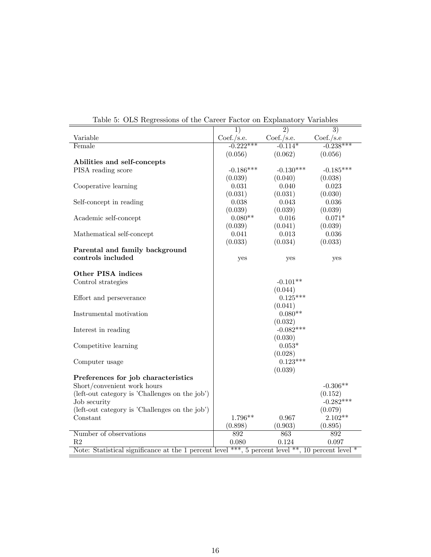|                                                                                                   | $\overline{1}$ | $\overline{2})$ | $\overline{3})$ |
|---------------------------------------------------------------------------------------------------|----------------|-----------------|-----------------|
| Variable                                                                                          | Coef./s.e.     | Coef./s.e.      | Coef./s.e       |
| Female                                                                                            | $-0.222***$    | $-0.114*$       | $-0.238***$     |
|                                                                                                   | (0.056)        | (0.062)         | (0.056)         |
| Abilities and self-concepts                                                                       |                |                 |                 |
| PISA reading score                                                                                | $-0.186***$    | $-0.130***$     | $-0.185***$     |
|                                                                                                   | (0.039)        | (0.040)         | (0.038)         |
| Cooperative learning                                                                              | 0.031          | 0.040           | 0.023           |
|                                                                                                   | (0.031)        | (0.031)         | (0.030)         |
| Self-concept in reading                                                                           | 0.038          | 0.043           | 0.036           |
|                                                                                                   | (0.039)        | (0.039)         | (0.039)         |
| Academic self-concept                                                                             | $0.080**$      | 0.016           | $0.071*$        |
|                                                                                                   | (0.039)        | (0.041)         | (0.039)         |
| Mathematical self-concept                                                                         | 0.041          | 0.013           | 0.036           |
|                                                                                                   | (0.033)        | (0.034)         | (0.033)         |
| Parental and family background                                                                    |                |                 |                 |
| controls included                                                                                 | yes            | yes             | yes             |
|                                                                                                   |                |                 |                 |
| Other PISA indices                                                                                |                |                 |                 |
| Control strategies                                                                                |                | $-0.101**$      |                 |
|                                                                                                   |                | (0.044)         |                 |
| Effort and perseverance                                                                           |                | $0.125***$      |                 |
|                                                                                                   |                | (0.041)         |                 |
| Instrumental motivation                                                                           |                | $0.080**$       |                 |
|                                                                                                   |                | (0.032)         |                 |
| Interest in reading                                                                               |                | $-0.082***$     |                 |
|                                                                                                   |                | (0.030)         |                 |
| Competitive learning                                                                              |                | $0.053*$        |                 |
|                                                                                                   |                | (0.028)         |                 |
| Computer usage                                                                                    |                | $0.123***$      |                 |
|                                                                                                   |                | (0.039)         |                 |
| Preferences for job characteristics                                                               |                |                 |                 |
| Short/convenient work hours                                                                       |                |                 | $-0.306**$      |
| (left-out category is 'Challenges on the job')                                                    |                |                 | (0.152)         |
| Job security                                                                                      |                |                 | $-0.282***$     |
| (left-out category is 'Challenges on the job')                                                    |                |                 | (0.079)         |
| Constant                                                                                          | 1.796**        | 0.967           | $2.102**$       |
|                                                                                                   | (0.898)        | (0.903)         | (0.895)         |
| Number of observations                                                                            | 892            | 863             | 892             |
| R2                                                                                                | 0.080          | 0.124           | 0.097           |
| Note: Statistical significance at the 1 percent level ***, 5 percent level **, 10 percent level * |                |                 |                 |
|                                                                                                   |                |                 |                 |

Table 5: OLS Regressions of the Career Factor on Explanatory Variables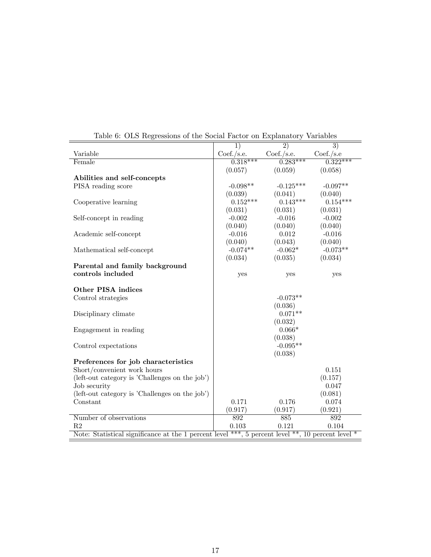| $\mathbf{r}$ and $\mathbf{r}$ are $\mathbf{r}$ and $\mathbf{r}$ are $\mathbf{r}$ and $\mathbf{r}$ are $\mathbf{r}$ and $\mathbf{r}$ are $\mathbf{r}$ and $\mathbf{r}$ are $\mathbf{r}$ and $\mathbf{r}$ are $\mathbf{r}$ and $\mathbf{r}$ are $\mathbf{r}$ and $\mathbf{r}$ and $\mathbf{r}$ are |                 |                 |                 |
|--------------------------------------------------------------------------------------------------------------------------------------------------------------------------------------------------------------------------------------------------------------------------------------------------|-----------------|-----------------|-----------------|
|                                                                                                                                                                                                                                                                                                  | $\overline{1)}$ | $\overline{2)}$ | $\overline{3)}$ |
| Variable                                                                                                                                                                                                                                                                                         | Coef./s.e.      | Coef./s.e.      | Coef./s.e       |
| Female                                                                                                                                                                                                                                                                                           | $0.318***$      | $0.283***$      | $0.322***$      |
|                                                                                                                                                                                                                                                                                                  | (0.057)         | (0.059)         | (0.058)         |
| Abilities and self-concepts                                                                                                                                                                                                                                                                      |                 |                 |                 |
| PISA reading score                                                                                                                                                                                                                                                                               | $-0.098**$      | $-0.125***$     | $-0.097**$      |
|                                                                                                                                                                                                                                                                                                  | (0.039)         | (0.041)         | (0.040)         |
| Cooperative learning                                                                                                                                                                                                                                                                             | $0.152***$      | $0.143***$      | $0.154***$      |
|                                                                                                                                                                                                                                                                                                  | (0.031)         | (0.031)         | (0.031)         |
| Self-concept in reading                                                                                                                                                                                                                                                                          | $-0.002$        | $-0.016$        | $-0.002$        |
|                                                                                                                                                                                                                                                                                                  | (0.040)         | (0.040)         | (0.040)         |
| Academic self-concept                                                                                                                                                                                                                                                                            | $-0.016$        | 0.012           | $-0.016$        |
|                                                                                                                                                                                                                                                                                                  | (0.040)         | (0.043)         | (0.040)         |
| Mathematical self-concept                                                                                                                                                                                                                                                                        | $-0.074**$      | $-0.062*$       | $-0.073**$      |
|                                                                                                                                                                                                                                                                                                  | (0.034)         | (0.035)         | (0.034)         |
| Parental and family background                                                                                                                                                                                                                                                                   |                 |                 |                 |
| controls included                                                                                                                                                                                                                                                                                | yes             | yes             | yes             |
|                                                                                                                                                                                                                                                                                                  |                 |                 |                 |
| Other PISA indices                                                                                                                                                                                                                                                                               |                 |                 |                 |
| Control strategies                                                                                                                                                                                                                                                                               |                 | $-0.073**$      |                 |
|                                                                                                                                                                                                                                                                                                  |                 | (0.036)         |                 |
| Disciplinary climate                                                                                                                                                                                                                                                                             |                 | $0.071**$       |                 |
|                                                                                                                                                                                                                                                                                                  |                 | (0.032)         |                 |
| Engagement in reading                                                                                                                                                                                                                                                                            |                 | $0.066*$        |                 |
|                                                                                                                                                                                                                                                                                                  |                 | (0.038)         |                 |
| Control expectations                                                                                                                                                                                                                                                                             |                 | $-0.095**$      |                 |
|                                                                                                                                                                                                                                                                                                  |                 | (0.038)         |                 |
| Preferences for job characteristics                                                                                                                                                                                                                                                              |                 |                 |                 |
| Short/convenient work hours                                                                                                                                                                                                                                                                      |                 |                 | 0.151           |
| (left-out category is 'Challenges on the job')                                                                                                                                                                                                                                                   |                 |                 | (0.157)         |
| Job security                                                                                                                                                                                                                                                                                     |                 |                 | 0.047           |
| (left-out category is 'Challenges on the job')                                                                                                                                                                                                                                                   |                 |                 | (0.081)         |
| Constant                                                                                                                                                                                                                                                                                         | 0.171           | 0.176           | 0.074           |
|                                                                                                                                                                                                                                                                                                  | (0.917)         | (0.917)         | (0.921)         |
| Number of observations                                                                                                                                                                                                                                                                           | 892             | 885             | 892             |
| R <sub>2</sub>                                                                                                                                                                                                                                                                                   | 0.103           | 0.121           | 0.104           |
| Note: Statistical significance at the 1 percent level **, 5 percent level **, 10 percent level *                                                                                                                                                                                                 |                 |                 |                 |
|                                                                                                                                                                                                                                                                                                  |                 |                 |                 |

Table 6: OLS Regressions of the Social Factor on Explanatory Variables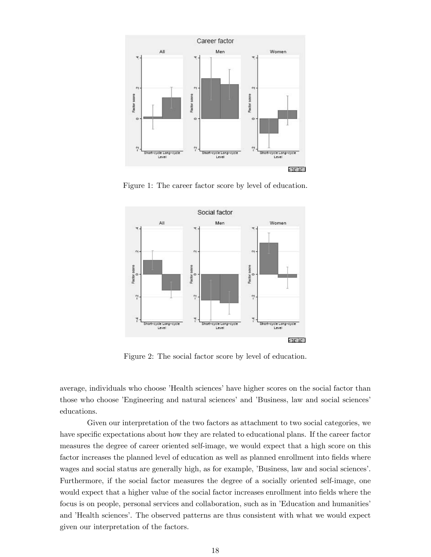

Figure 1: The career factor score by level of education.



Figure 2: The social factor score by level of education.

average, individuals who choose 'Health sciences' have higher scores on the social factor than those who choose *'Engineering and natural sciences' and 'Business*, law and social sciences' educations.

Given our interpretation of the two factors as attachment to two social categories, we have specific expectations about how they are related to educational plans. If the career factor measures the degree of career oriented self-image, we would expect that a high score on this factor increases the planned level of education as well as planned enrollment into fields where wages and social status are generally high, as for example, 'Business, law and social sciences'. Furthermore, if the social factor measures the degree of a socially oriented self-image, one would expect that a higher value of the social factor increases enrollment into fields where the focus is on people, personal services and collaboration, such as in 'Education and humanities' and 'Health sciences'. The observed patterns are thus consistent with what we would expect given our interpretation of the factors.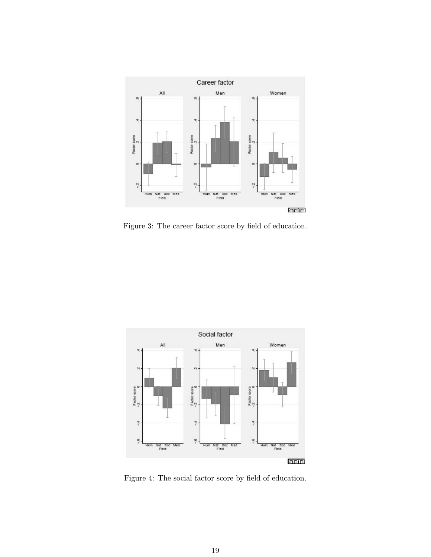

Figure 3: The career factor score by field of education.



Figure 4: The social factor score by field of education.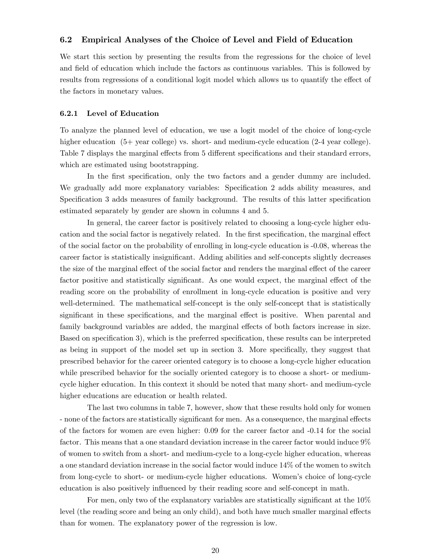### 6.2 Empirical Analyses of the Choice of Level and Field of Education

We start this section by presenting the results from the regressions for the choice of level and field of education which include the factors as continuous variables. This is followed by results from regressions of a conditional logit model which allows us to quantify the effect of the factors in monetary values.

### 6.2.1 Level of Education

To analyze the planned level of education, we use a logit model of the choice of long-cycle higher education  $(5+)$  year college) vs. short- and medium-cycle education  $(2-4)$  year college). Table 7 displays the marginal effects from 5 different specifications and their standard errors, which are estimated using bootstrapping.

In the first specification, only the two factors and a gender dummy are included. We gradually add more explanatory variables: Specification 2 adds ability measures, and Specification 3 adds measures of family background. The results of this latter specification estimated separately by gender are shown in columns 4 and 5.

In general, the career factor is positively related to choosing a long-cycle higher education and the social factor is negatively related. In the first specification, the marginal effect of the social factor on the probability of enrolling in long-cycle education is -0.08, whereas the career factor is statistically insignificant. Adding abilities and self-concepts slightly decreases the size of the marginal effect of the social factor and renders the marginal effect of the career factor positive and statistically significant. As one would expect, the marginal effect of the reading score on the probability of enrollment in long-cycle education is positive and very well-determined. The mathematical self-concept is the only self-concept that is statistically significant in these specifications, and the marginal effect is positive. When parental and family background variables are added, the marginal effects of both factors increase in size. Based on specification 3), which is the preferred specification, these results can be interpreted as being in support of the model set up in section 3. More specifically, they suggest that prescribed behavior for the career oriented category is to choose a long-cycle higher education while prescribed behavior for the socially oriented category is to choose a short- or mediumcycle higher education. In this context it should be noted that many short- and medium-cycle higher educations are education or health related.

The last two columns in table 7, however, show that these results hold only for women - none of the factors are statistically significant for men. As a consequence, the marginal effects of the factors for women are even higher: 0.09 for the career factor and -0.14 for the social factor. This means that a one standard deviation increase in the career factor would induce 9% of women to switch from a short- and medium-cycle to a long-cycle higher education, whereas a one standard deviation increase in the social factor would induce 14% of the women to switch from long-cycle to short- or medium-cycle higher educations. Womenís choice of long-cycle education is also positively influenced by their reading score and self-concept in math.

For men, only two of the explanatory variables are statistically significant at the  $10\%$ level (the reading score and being an only child), and both have much smaller marginal effects than for women. The explanatory power of the regression is low.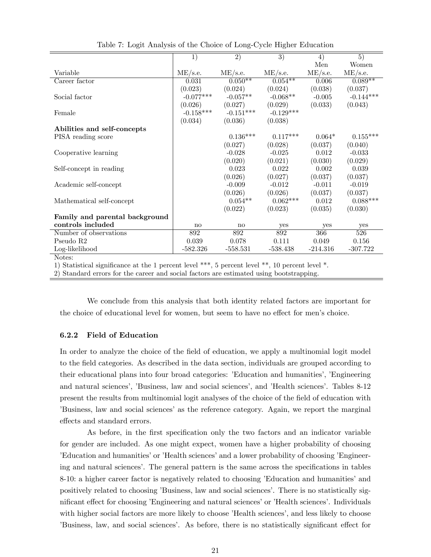|                                                                                                 | $\overline{1)}$ | $\overline{2)}$ | $\overline{3)}$ | $\overline{4}$ | $\overline{5)}$ |
|-------------------------------------------------------------------------------------------------|-----------------|-----------------|-----------------|----------------|-----------------|
|                                                                                                 |                 |                 |                 | Men            | Women           |
| Variable                                                                                        | ME/s.e.         | ME/s.e.         | $ME$ /s.e.      | ME/s.e.        | $ME$ /s.e.      |
| Career factor                                                                                   | 0.031           | $0.050**$       | $0.054***$      | 0.006          | $0.089**$       |
|                                                                                                 | (0.023)         | (0.024)         | (0.024)         | (0.038)        | (0.037)         |
| Social factor                                                                                   | $-0.077***$     | $-0.057**$      | $-0.068**$      | $-0.005$       | $-0.144***$     |
|                                                                                                 | (0.026)         | (0.027)         | (0.029)         | (0.033)        | (0.043)         |
| Female                                                                                          | $-0.158***$     | $-0.151***$     | $-0.129***$     |                |                 |
|                                                                                                 | (0.034)         | (0.036)         | (0.038)         |                |                 |
| Abilities and self-concepts                                                                     |                 |                 |                 |                |                 |
| PISA reading score                                                                              |                 | $0.136***$      | $0.117***$      | $0.064*$       | $0.155***$      |
|                                                                                                 |                 | (0.027)         | (0.028)         | (0.037)        | (0.040)         |
| Cooperative learning                                                                            |                 | $-0.028$        | $-0.025$        | 0.012          | $-0.033$        |
|                                                                                                 |                 | (0.020)         | (0.021)         | (0.030)        | (0.029)         |
| Self-concept in reading                                                                         |                 | 0.023           | 0.022           | 0.002          | 0.039           |
|                                                                                                 |                 | (0.026)         | (0.027)         | (0.037)        | (0.037)         |
| Academic self-concept                                                                           |                 | $-0.009$        | $-0.012$        | $-0.011$       | $-0.019$        |
|                                                                                                 |                 | (0.026)         | (0.026)         | (0.037)        | (0.037)         |
| Mathematical self-concept                                                                       |                 | $0.054**$       | $0.062***$      | 0.012          | $0.088***$      |
|                                                                                                 |                 | (0.022)         | (0.023)         | (0.035)        | (0.030)         |
| Family and parental background                                                                  |                 |                 |                 |                |                 |
| controls included                                                                               | no              | $\mathbf{n}$    | yes             | yes            | yes             |
| Number of observations                                                                          | 892             | 892             | 892             | 366            | 526             |
| Pseudo R <sub>2</sub>                                                                           | 0.039           | 0.078           | 0.111           | 0.049          | 0.156           |
| Log-likelihood                                                                                  | $-582.326$      | $-558.531$      | $-538.438$      | $-214.316$     | $-307.722$      |
| Notes:                                                                                          |                 |                 |                 |                |                 |
| 1) Statistical significance at the 1 percent level ***, 5 percent level **, 10 percent level *. |                 |                 |                 |                |                 |
| 2) Standard errors for the career and social factors are estimated using bootstrapping.         |                 |                 |                 |                |                 |

Table 7: Logit Analysis of the Choice of Long-Cycle Higher Education

We conclude from this analysis that both identity related factors are important for the choice of educational level for women, but seem to have no effect for men's choice.

### 6.2.2 Field of Education

In order to analyze the choice of the field of education, we apply a multinomial logit model to the Öeld categories. As described in the data section, individuals are grouped according to their educational plans into four broad categories: 'Education and humanities', 'Engineering and natural sciences', 'Business, law and social sciences', and 'Health sciences'. Tables 8-12 present the results from multinomial logit analyses of the choice of the field of education with íBusiness, law and social sciencesías the reference category. Again, we report the marginal effects and standard errors.

As before, in the first specification only the two factors and an indicator variable for gender are included. As one might expect, women have a higher probability of choosing *Education and humanities'* or *Health sciences'* and a lower probability of choosing *Engineer*ing and natural sciences'. The general pattern is the same across the specifications in tables 8-10: a higher career factor is negatively related to choosing 'Education and humanities' and positively related to choosing 'Business, law and social sciences'. There is no statistically significant effect for choosing *'Engineering and natural sciences'* or *'Health sciences'*. Individuals with higher social factors are more likely to choose 'Health sciences', and less likely to choose Eusiness, law, and social sciences<sup>'</sup>. As before, there is no statistically significant effect for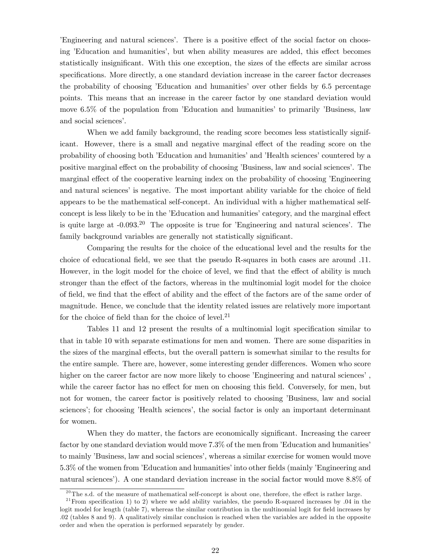Engineering and natural sciences'. There is a positive effect of the social factor on choosing *Education and humanities*<sup>'</sup>, but when ability measures are added, this effect becomes statistically insignificant. With this one exception, the sizes of the effects are similar across specifications. More directly, a one standard deviation increase in the career factor decreases the probability of choosing *Education and humanities* over other fields by 6.5 percentage points. This means that an increase in the career factor by one standard deviation would move  $6.5\%$  of the population from *E*ducation and humanities to primarily *Business*, law and social sciences'.

When we add family background, the reading score becomes less statistically significant. However, there is a small and negative marginal effect of the reading score on the probability of choosing both íEducation and humanitiesíand íHealth sciencesícountered by a positive marginal effect on the probability of choosing 'Business, law and social sciences'. The marginal effect of the cooperative learning index on the probability of choosing *Engineering* and natural sciences' is negative. The most important ability variable for the choice of field appears to be the mathematical self-concept. An individual with a higher mathematical selfconcept is less likely to be in the *Education* and humanities' category, and the marginal effect is quite large at  $-0.093^{20}$  The opposite is true for *Engineering and natural sciences*. The family background variables are generally not statistically significant.

Comparing the results for the choice of the educational level and the results for the choice of educational Öeld, we see that the pseudo R-squares in both cases are around .11. However, in the logit model for the choice of level, we find that the effect of ability is much stronger than the effect of the factors, whereas in the multinomial logit model for the choice of field, we find that the effect of ability and the effect of the factors are of the same order of magnitude. Hence, we conclude that the identity related issues are relatively more important for the choice of field than for the choice of level. $21$ 

Tables 11 and 12 present the results of a multinomial logit specification similar to that in table 10 with separate estimations for men and women. There are some disparities in the sizes of the marginal effects, but the overall pattern is somewhat similar to the results for the entire sample. There are, however, some interesting gender differences. Women who score higher on the career factor are now more likely to choose 'Engineering and natural sciences', while the career factor has no effect for men on choosing this field. Conversely, for men, but not for women, the career factor is positively related to choosing 'Business, law and social sciences; for choosing 'Health sciences', the social factor is only an important determinant for women.

When they do matter, the factors are economically significant. Increasing the career factor by one standard deviation would move  $7.3\%$  of the men from *'Education and humanities'* to mainly 'Business, law and social sciences', whereas a similar exercise for women would move 5.3% of the women from 'Education and humanities' into other fields (mainly 'Engineering and natural sciences'). A one standard deviation increase in the social factor would move 8.8% of

 $^{20}$ The s.d. of the measure of mathematical self-concept is about one, therefore, the effect is rather large.

<sup>&</sup>lt;sup>21</sup> From specification 1) to 2) where we add ability variables, the pseudo R-squared increases by .04 in the logit model for length (table 7), whereas the similar contribution in the multinomial logit for field increases by .02 (tables 8 and 9). A qualitatively similar conclusion is reached when the variables are added in the opposite order and when the operation is performed separately by gender.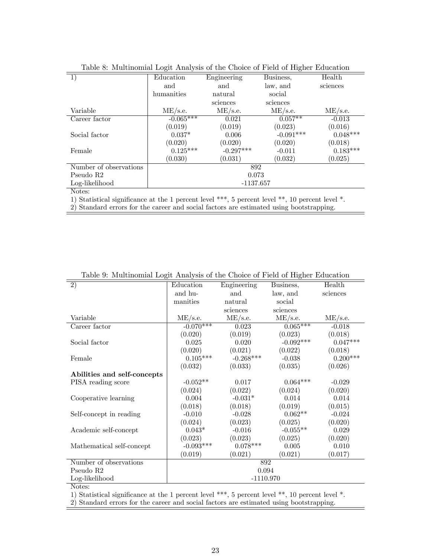|                        | Tapic of munimuminal Logic minaryons of the Choice of Field of Higher Laucation |             |             |            |  |  |  |  |
|------------------------|---------------------------------------------------------------------------------|-------------|-------------|------------|--|--|--|--|
| 1)                     | Education                                                                       | Engineering | Business,   | Health     |  |  |  |  |
|                        | and                                                                             | and         | law, and    | sciences   |  |  |  |  |
|                        | humanities                                                                      | natural     | social      |            |  |  |  |  |
|                        |                                                                                 | sciences    | sciences    |            |  |  |  |  |
| Variable               | $ME$ /s.e.                                                                      | $ME$ /s.e.  | $ME$ /s.e.  | $ME$ /s.e. |  |  |  |  |
| Career factor          | $-0.065***$                                                                     | 0.021       | $0.057**$   | $-0.013$   |  |  |  |  |
|                        | (0.019)                                                                         | (0.019)     | (0.023)     | (0.016)    |  |  |  |  |
| Social factor          | $0.037*$                                                                        | 0.006       | $-0.091***$ | $0.048***$ |  |  |  |  |
|                        | (0.020)                                                                         | (0.020)     | (0.020)     | (0.018)    |  |  |  |  |
| Female                 | $0.125***$                                                                      | $-0.297***$ | $-0.011$    | $0.183***$ |  |  |  |  |
|                        | (0.030)                                                                         | (0.031)     | (0.032)     | (0.025)    |  |  |  |  |
| Number of observations |                                                                                 | 892         |             |            |  |  |  |  |
| Pseudo R2              |                                                                                 | 0.073       |             |            |  |  |  |  |
| Log-likelihood         |                                                                                 | $-1137.657$ |             |            |  |  |  |  |
| Notes:                 |                                                                                 |             |             |            |  |  |  |  |

| Table 8: Multinomial Logit Analysis of the Choice of Field of Higher Education |  |  |  |  |  |  |  |
|--------------------------------------------------------------------------------|--|--|--|--|--|--|--|
|--------------------------------------------------------------------------------|--|--|--|--|--|--|--|

Notes:

1) Statistical significance at the 1 percent level \*\*\*, 5 percent level \*\*, 10 percent level \*.

2) Standard errors for the career and social factors are estimated using bootstrapping.

| $\overline{2)}$             | Education       | Engineering | Business,   | Health     |
|-----------------------------|-----------------|-------------|-------------|------------|
|                             | and hu-         | and         | law, and    | sciences   |
|                             | manities        | natural     | social      |            |
|                             |                 | sciences    | sciences    |            |
| Variable                    | ME/s.e.         | ME/s.e.     | $ME$ /s.e.  | ME/s.e.    |
| Career factor               | $-0.070***$     | 0.023       | $0.065***$  | $-0.018$   |
|                             | (0.020)         | (0.019)     | (0.023)     | (0.018)    |
| Social factor               | 0.025           | 0.020       | $-0.092***$ | $0.047***$ |
|                             | (0.020)         | (0.021)     | (0.022)     | (0.018)    |
| Female                      | $0.105^{***}\,$ | $-0.268***$ | $-0.038$    | $0.200***$ |
|                             | (0.032)         | (0.033)     | (0.035)     | (0.026)    |
| Abilities and self-concepts |                 |             |             |            |
| PISA reading score          | $-0.052**$      | 0.017       | $0.064***$  | $-0.029$   |
|                             | (0.024)         | (0.022)     | (0.024)     | (0.020)    |
| Cooperative learning        | 0.004           | $-0.031*$   | 0.014       | 0.014      |
|                             | (0.018)         | (0.018)     | (0.019)     | (0.015)    |
| Self-concept in reading     | $-0.010$        | $-0.028$    | $0.062**$   | $-0.024$   |
|                             | (0.024)         | (0.023)     | (0.025)     | (0.020)    |
| Academic self-concept       | $0.043*$        | $-0.016$    | $-0.055**$  | 0.029      |
|                             | (0.023)         | (0.023)     | (0.025)     | (0.020)    |
| Mathematical self-concept   | $-0.093***$     | $0.078***$  | 0.005       | 0.010      |
|                             | (0.019)         | (0.021)     | (0.021)     | (0.017)    |
| Number of observations      |                 |             | 892         |            |
| Pseudo R2                   |                 |             | 0.094       |            |
| Log-likelihood              |                 | $-1110.970$ |             |            |
| <b>NT</b>                   |                 |             |             |            |

Table 9: Multinomial Logit Analysis of the Choice of Field of Higher Education

Notes:

1) Statistical significance at the 1 percent level \*\*\*, 5 percent level \*\*, 10 percent level \*.

2) Standard errors for the career and social factors are estimated using bootstrapping.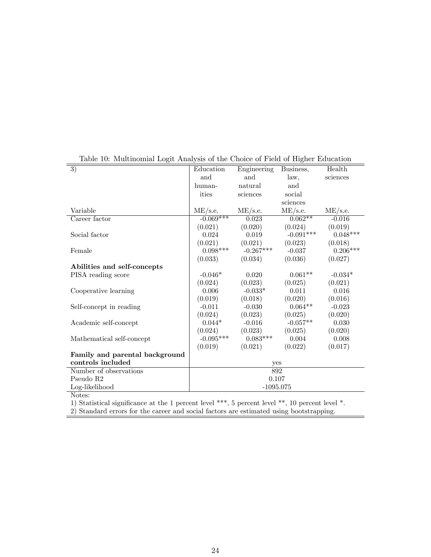| Table 10. Indicationing Bogic Amaryons of the Choree of Flora of Higher Baucation |             |             |             |            |
|-----------------------------------------------------------------------------------|-------------|-------------|-------------|------------|
| $\overline{3)}$                                                                   | Education   | Engineering | Business,   | Health     |
|                                                                                   | and         | and         | law,        | sciences   |
|                                                                                   | human-      | natural     | and         |            |
|                                                                                   | ities       | sciences    | social      |            |
|                                                                                   |             |             | sciences    |            |
| Variable                                                                          | ME/s.e.     | ME/s.e.     | $ME$ /s.e.  | ME/s.e.    |
| Career factor                                                                     | $-0.069***$ | 0.023       | $0.062**$   | $-0.016$   |
|                                                                                   | (0.021)     | (0.020)     | (0.024)     | (0.019)    |
| Social factor                                                                     | 0.024       | 0.019       | $-0.091***$ | $0.048***$ |
|                                                                                   | (0.021)     | (0.021)     | (0.023)     | (0.018)    |
| Female                                                                            | $0.098***$  | $-0.267***$ | $-0.037$    | $0.206***$ |
|                                                                                   | (0.033)     | (0.034)     | (0.036)     | (0.027)    |
| Abilities and self-concepts                                                       |             |             |             |            |
| PISA reading score                                                                | $-0.046*$   | 0.020       | $0.061**$   | $-0.034*$  |
|                                                                                   | (0.024)     | (0.023)     | (0.025)     | (0.021)    |
| Cooperative learning                                                              | 0.006       | $-0.033*$   | 0.011       | 0.016      |
|                                                                                   | (0.019)     | (0.018)     | (0.020)     | (0.016)    |
| Self-concept in reading                                                           | $-0.011$    | $-0.030$    | $0.064**$   | $-0.023$   |
|                                                                                   | (0.024)     | (0.023)     | (0.025)     | (0.020)    |
| Academic self-concept                                                             | $0.044*$    | $-0.016$    | $-0.057**$  | 0.030      |
|                                                                                   | (0.024)     | (0.023)     | (0.025)     | (0.020)    |
| Mathematical self-concept                                                         | $-0.095***$ | $0.083***$  | 0.004       | 0.008      |
|                                                                                   | (0.019)     | (0.021)     | (0.022)     | (0.017)    |
| Family and parental background                                                    |             |             |             |            |
| controls included                                                                 |             |             | yes         |            |
| Number of observations                                                            |             |             | 892         |            |
| Pseudo R <sub>2</sub>                                                             |             |             | 0.107       |            |
| Log-likelihood                                                                    |             |             | $-1095.075$ |            |
| Notes:                                                                            |             |             |             |            |

### Table 10: Multinomial Logit Analysis of the Choice of Field of Higher Education

1) Statistical significance at the 1 percent level \*\*\*, 5 percent level \*\*, 10 percent level \*.

 $\equiv$ 

2) Standard errors for the career and social factors are estimated using bootstrapping.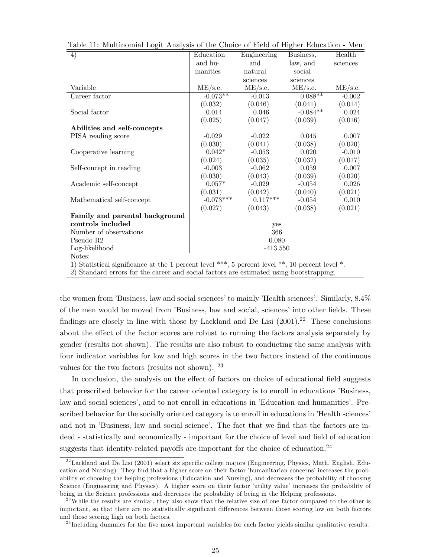| 4)                                                                                              | Education   | Engineering | Business,  | Health     |
|-------------------------------------------------------------------------------------------------|-------------|-------------|------------|------------|
|                                                                                                 | and hu-     | and         | law, and   | sciences   |
|                                                                                                 | manities    | natural     | social     |            |
|                                                                                                 |             | sciences    | sciences   |            |
| Variable                                                                                        | $ME$ /s.e.  | $ME$ /s.e.  | $ME$ /s.e. | $ME$ /s.e. |
| Career factor                                                                                   | $-0.073**$  | $-0.013$    | $0.088**$  | $-0.002$   |
|                                                                                                 | (0.032)     | (0.046)     | (0.041)    | (0.014)    |
| Social factor                                                                                   | 0.014       | 0.046       | $-0.084**$ | 0.024      |
|                                                                                                 | (0.025)     | (0.047)     | (0.039)    | (0.016)    |
| Abilities and self-concepts                                                                     |             |             |            |            |
| PISA reading score                                                                              | $-0.029$    | $-0.022$    | 0.045      | 0.007      |
|                                                                                                 | (0.030)     | (0.041)     | (0.038)    | (0.020)    |
| Cooperative learning                                                                            | $0.042*$    | $-0.053$    | 0.020      | $-0.010$   |
|                                                                                                 | (0.024)     | (0.035)     | (0.032)    | (0.017)    |
| Self-concept in reading                                                                         | $-0.003$    | $-0.062$    | 0.059      | 0.007      |
|                                                                                                 | (0.030)     | (0.043)     | (0.039)    | (0.020)    |
| Academic self-concept                                                                           | $0.057*$    | $-0.029$    | $-0.054$   | 0.026      |
|                                                                                                 | (0.031)     | (0.042)     | (0.040)    | (0.021)    |
| Mathematical self-concept                                                                       | $-0.073***$ | $0.117***$  | $-0.054$   | 0.010      |
|                                                                                                 | (0.027)     | (0.043)     | (0.038)    | (0.021)    |
| Family and parental background                                                                  |             |             |            |            |
| controls included                                                                               |             | yes         |            |            |
| Number of observations                                                                          |             | 366         |            |            |
| Pseudo R <sub>2</sub>                                                                           |             | 0.080       |            |            |
| Log-likelihood                                                                                  |             | $-413.550$  |            |            |
| Notes:                                                                                          |             |             |            |            |
| 1) Statistical significance at the 1 percent level ***, 5 percent level **, 10 percent level *. |             |             |            |            |
| $\Omega$ ) $\Omega$ is the contract of the contract of the contract of the contract of $\Omega$ |             |             |            |            |

Table 11: Multinomial Logit Analysis of the Choice of Field of Higher Education - Men

2) Standard errors for the career and social factors are estimated using bootstrapping.

the women from 'Business, law and social sciences' to mainly 'Health sciences'. Similarly,  $8.4\%$ of the men would be moved from 'Business, law and social, sciences' into other fields. These findings are closely in line with those by Lackland and De Lisi  $(2001).^{22}$  These conclusions about the effect of the factor scores are robust to running the factors analysis separately by gender (results not shown). The results are also robust to conducting the same analysis with four indicator variables for low and high scores in the two factors instead of the continuous values for the two factors (results not shown). <sup>23</sup>

In conclusion, the analysis on the effect of factors on choice of educational field suggests that prescribed behavior for the career oriented category is to enroll in educations 'Business, law and social sciences<sup>'</sup>, and to not enroll in educations in 'Education and humanities<sup>'</sup>. Prescribed behavior for the socially oriented category is to enroll in educations in 'Health sciences' and not in 'Business, law and social science'. The fact that we find that the factors are indeed - statistically and economically - important for the choice of level and field of education suggests that identity-related payoffs are important for the choice of education.<sup>24</sup>

 $^{22}$ Lackland and De Lisi (2001) select six specific college majors (Engineering, Physics, Math, English, Education and Nursing). They find that a higher score on their factor 'humanitarian concerns' increases the probability of choosing the helping professions (Education and Nursing), and decreases the probability of choosing Science (Engineering and Physics). A higher score on their factor 'utility value' increases the probability of being in the Science professions and decreases the probability of being in the Helping professions.

 $^{23}$  While the results are similar, they also show that the relative size of one factor compared to the other is important, so that there are no statistically significant differences between those scoring low on both factors and those scoring high on both factors.

 $^{24}$ Including dummies for the five most important variables for each factor yields similar qualitative results.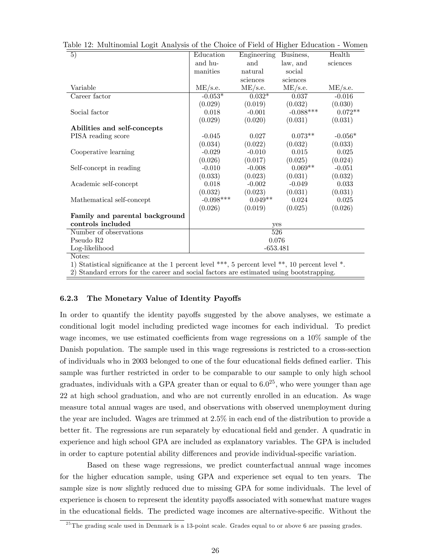| $\overline{5)}$                                                                                 | Education   | Engineering | Business,   | Health     |  |  |
|-------------------------------------------------------------------------------------------------|-------------|-------------|-------------|------------|--|--|
|                                                                                                 | and hu-     | and         | law, and    | sciences   |  |  |
|                                                                                                 | manities    | natural     | social      |            |  |  |
|                                                                                                 |             | sciences    | sciences    |            |  |  |
| Variable                                                                                        | $ME$ /s.e.  | ME/s.e.     | ME/s.e.     | $ME$ /s.e. |  |  |
| Career factor                                                                                   | $-0.053*$   | $0.032*$    | 0.037       | $-0.016$   |  |  |
|                                                                                                 | (0.029)     | (0.019)     | (0.032)     | (0.030)    |  |  |
| Social factor                                                                                   | 0.018       | $-0.001$    | $-0.088***$ | $0.072**$  |  |  |
|                                                                                                 | (0.029)     | (0.020)     | (0.031)     | (0.031)    |  |  |
| Abilities and self-concepts                                                                     |             |             |             |            |  |  |
| PISA reading score                                                                              | $-0.045$    | 0.027       | $0.073**$   | $-0.056*$  |  |  |
|                                                                                                 | (0.034)     | (0.022)     | (0.032)     | (0.033)    |  |  |
| Cooperative learning                                                                            | $-0.029$    | $-0.010$    | 0.015       | 0.025      |  |  |
|                                                                                                 | (0.026)     | (0.017)     | (0.025)     | (0.024)    |  |  |
| Self-concept in reading                                                                         | $-0.010$    | $-0.008$    | $0.069**$   | $-0.051$   |  |  |
|                                                                                                 | (0.033)     | (0.023)     | (0.031)     | (0.032)    |  |  |
| Academic self-concept                                                                           | 0.018       | $-0.002$    | $-0.049$    | 0.033      |  |  |
|                                                                                                 | (0.032)     | (0.023)     | (0.031)     | (0.031)    |  |  |
| Mathematical self-concept                                                                       | $-0.098***$ | $0.049**$   | 0.024       | 0.025      |  |  |
|                                                                                                 | (0.026)     | (0.019)     | (0.025)     | (0.026)    |  |  |
| Family and parental background                                                                  |             |             |             |            |  |  |
| controls included                                                                               | yes         |             |             |            |  |  |
| Number of observations                                                                          | 526         |             |             |            |  |  |
| Pseudo R <sub>2</sub>                                                                           | 0.076       |             |             |            |  |  |
| Log-likelihood                                                                                  | $-653.481$  |             |             |            |  |  |
| Notes:                                                                                          |             |             |             |            |  |  |
| 1) Statistical significance at the 1 percent level ***, 5 percent level **, 10 percent level *. |             |             |             |            |  |  |
| 2) Standard errors for the career and social factors are estimated using bootstrapping.         |             |             |             |            |  |  |

Table 12: Multinomial Logit Analysis of the Choice of Field of Higher Education - Women

### 6.2.3 The Monetary Value of Identity Payoffs

In order to quantify the identity payoffs suggested by the above analyses, we estimate a conditional logit model including predicted wage incomes for each individual. To predict wage incomes, we use estimated coefficients from wage regressions on a  $10\%$  sample of the Danish population. The sample used in this wage regressions is restricted to a cross-section of individuals who in 2003 belonged to one of the four educational fields defined earlier. This sample was further restricted in order to be comparable to our sample to only high school graduates, individuals with a GPA greater than or equal to  $6.0^{25}$ , who were younger than age 22 at high school graduation, and who are not currently enrolled in an education. As wage measure total annual wages are used, and observations with observed unemployment during the year are included. Wages are trimmed at 2.5% in each end of the distribution to provide a better fit. The regressions are run separately by educational field and gender. A quadratic in experience and high school GPA are included as explanatory variables. The GPA is included in order to capture potential ability differences and provide individual-specific variation.

Based on these wage regressions, we predict counterfactual annual wage incomes for the higher education sample, using GPA and experience set equal to ten years. The sample size is now slightly reduced due to missing GPA for some individuals. The level of experience is chosen to represent the identity payoffs associated with somewhat mature wages in the educational fields. The predicted wage incomes are alternative-specific. Without the

 $^{25}$ The grading scale used in Denmark is a 13-point scale. Grades equal to or above 6 are passing grades.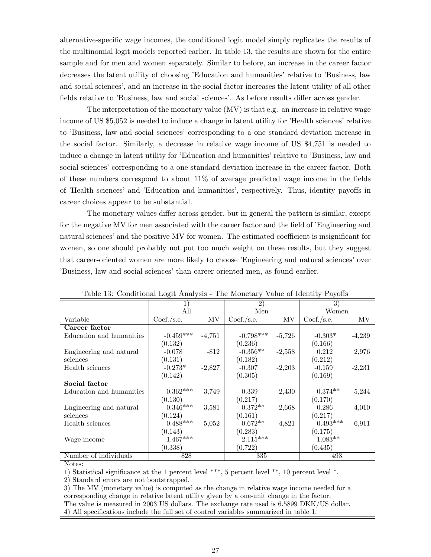alternative-speciÖc wage incomes, the conditional logit model simply replicates the results of the multinomial logit models reported earlier. In table 13, the results are shown for the entire sample and for men and women separately. Similar to before, an increase in the career factor decreases the latent utility of choosing 'Education and humanities' relative to 'Business, law and social sciences<sup>'</sup>, and an increase in the social factor increases the latent utility of all other fields relative to 'Business, law and social sciences'. As before results differ across gender.

The interpretation of the monetary value (MV) is that e.g. an increase in relative wage income of US \$5,052 is needed to induce a change in latent utility for 'Health sciences' relative to 'Business, law and social sciences' corresponding to a one standard deviation increase in the social factor. Similarly, a decrease in relative wage income of US \$4,751 is needed to induce a change in latent utility for *Education* and humanities' relative to *Business*, law and social sciences' corresponding to a one standard deviation increase in the career factor. Both of these numbers correspond to about  $11\%$  of average predicted wage income in the fields of 'Health sciences' and 'Education and humanities', respectively. Thus, identity payoffs in career choices appear to be substantial.

The monetary values differ across gender, but in general the pattern is similar, except for the negative MV for men associated with the career factor and the field of *Engineering* and natural sciences' and the positive MV for women. The estimated coefficient is insignificant for women, so one should probably not put too much weight on these results, but they suggest that career-oriented women are more likely to choose *Engineering* and natural sciences' over íBusiness, law and social sciencesíthan career-oriented men, as found earlier.

|                          | ◡           |          |                 |          |                 |          |
|--------------------------|-------------|----------|-----------------|----------|-----------------|----------|
|                          |             |          | $\overline{2)}$ |          | $\overline{3})$ |          |
|                          | All         |          | Men             |          | Women           |          |
| Variable                 | Coef./s.e.  | MV       | Coef./s.e.      | MV       | Coef./s.e.      | MV       |
| Career factor            |             |          |                 |          |                 |          |
| Education and humanities | $-0.459***$ | $-4,751$ | $-0.798***$     | $-5,726$ | $-0.303*$       | $-4,239$ |
|                          | (0.132)     |          | (0.236)         |          | (0.166)         |          |
| Engineering and natural  | $-0.078$    | $-812$   | $-0.356**$      | $-2,558$ | 0.212           | 2,976    |
| sciences                 | (0.131)     |          | (0.182)         |          | (0.212)         |          |
| Health sciences          | $-0.273*$   | $-2,827$ | $-0.307$        | $-2,203$ | $-0.159$        | $-2,231$ |
|                          | (0.142)     |          | (0.305)         |          | (0.169)         |          |
| Social factor            |             |          |                 |          |                 |          |
| Education and humanities | $0.362***$  | 3,749    | 0.339           | 2,430    | $0.374**$       | 5,244    |
|                          | (0.130)     |          | (0.217)         |          | (0.170)         |          |
| Engineering and natural  | $0.346***$  | 3,581    | $0.372**$       | 2,668    | 0.286           | 4,010    |
| sciences                 | (0.124)     |          | (0.161)         |          | (0.217)         |          |
| Health sciences          | $0.488***$  | 5,052    | $0.672**$       | 4,821    | $0.493***$      | 6,911    |
|                          | (0.143)     |          | (0.283)         |          | (0.175)         |          |
| Wage income              | $1.467***$  |          | $2.115***$      |          | $1.083**$       |          |
|                          | (0.338)     |          | (0.722)         |          | (0.435)         |          |
| Number of individuals    | 828         |          | 335             |          | 493             |          |

Table 13: Conditional Logit Analysis - The Monetary Value of Identity Payoffs

Notes:

1) Statistical significance at the 1 percent level \*\*\*, 5 percent level \*\*, 10 percent level \*.

2) Standard errors are not bootstrapped.

3) The MV (monetary value) is computed as the change in relative wage income needed for a corresponding change in relative latent utility given by a one-unit change in the factor. The value is measured in 2003 US dollars. The exchange rate used is 6.5899 DKK/US dollar.

4) All specifications include the full set of control variables summarized in table 1.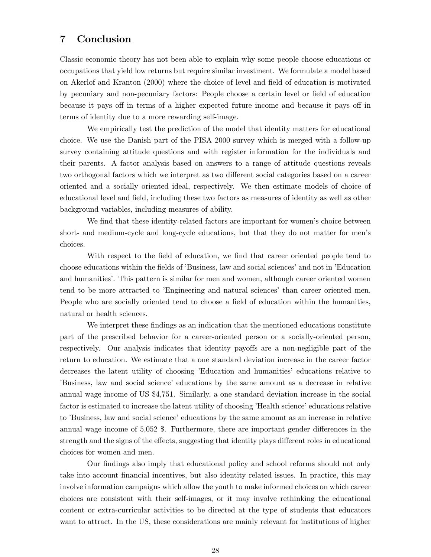### 7 Conclusion

Classic economic theory has not been able to explain why some people choose educations or occupations that yield low returns but require similar investment. We formulate a model based on Akerlof and Kranton (2000) where the choice of level and Öeld of education is motivated by pecuniary and non-pecuniary factors: People choose a certain level or Öeld of education because it pays off in terms of a higher expected future income and because it pays off in terms of identity due to a more rewarding self-image.

We empirically test the prediction of the model that identity matters for educational choice. We use the Danish part of the PISA 2000 survey which is merged with a follow-up survey containing attitude questions and with register information for the individuals and their parents. A factor analysis based on answers to a range of attitude questions reveals two orthogonal factors which we interpret as two different social categories based on a career oriented and a socially oriented ideal, respectively. We then estimate models of choice of educational level and field, including these two factors as measures of identity as well as other background variables, including measures of ability.

We find that these identity-related factors are important for women's choice between short- and medium-cycle and long-cycle educations, but that they do not matter for men's choices.

With respect to the field of education, we find that career oriented people tend to choose educations within the fields of 'Business, law and social sciences' and not in 'Education and humanities<sup>7</sup>. This pattern is similar for men and women, although career oriented women tend to be more attracted to *Engineering* and natural sciences' than career oriented men. People who are socially oriented tend to choose a field of education within the humanities, natural or health sciences.

We interpret these findings as an indication that the mentioned educations constitute part of the prescribed behavior for a career-oriented person or a socially-oriented person, respectively. Our analysis indicates that identity payoffs are a non-negligible part of the return to education. We estimate that a one standard deviation increase in the career factor decreases the latent utility of choosing 'Education and humanities' educations relative to íBusiness, law and social scienceí educations by the same amount as a decrease in relative annual wage income of US \$4,751. Similarly, a one standard deviation increase in the social factor is estimated to increase the latent utility of choosing 'Health science' educations relative to 'Business, law and social science' educations by the same amount as an increase in relative annual wage income of  $5,052$  \$. Furthermore, there are important gender differences in the strength and the signs of the effects, suggesting that identity plays different roles in educational choices for women and men.

Our findings also imply that educational policy and school reforms should not only take into account financial incentives, but also identity related issues. In practice, this may involve information campaigns which allow the youth to make informed choices on which career choices are consistent with their self-images, or it may involve rethinking the educational content or extra-curricular activities to be directed at the type of students that educators want to attract. In the US, these considerations are mainly relevant for institutions of higher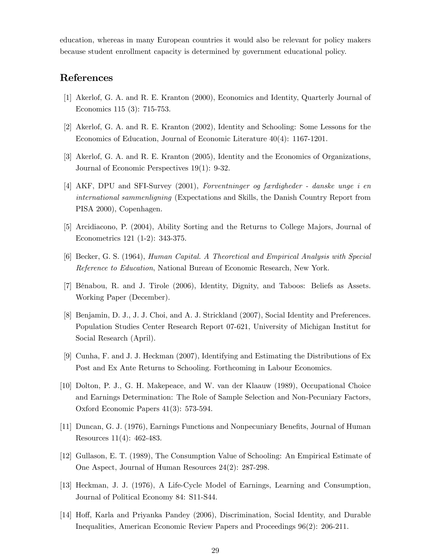education, whereas in many European countries it would also be relevant for policy makers because student enrollment capacity is determined by government educational policy.

### References

- [1] Akerlof, G. A. and R. E. Kranton (2000), Economics and Identity, Quarterly Journal of Economics 115 (3): 715-753.
- [2] Akerlof, G. A. and R. E. Kranton (2002), Identity and Schooling: Some Lessons for the Economics of Education, Journal of Economic Literature 40(4): 1167-1201.
- [3] Akerlof, G. A. and R. E. Kranton (2005), Identity and the Economics of Organizations, Journal of Economic Perspectives 19(1): 9-32.
- $[4]$  AKF, DPU and SFI-Survey  $(2001)$ , Forventninger og færdigheder danske unge i en international sammenligning (Expectations and Skills, the Danish Country Report from PISA 2000), Copenhagen.
- [5] Arcidiacono, P. (2004), Ability Sorting and the Returns to College Majors, Journal of Econometrics 121 (1-2): 343-375.
- [6] Becker, G. S. (1964), Human Capital. A Theoretical and Empirical Analysis with Special Reference to Education, National Bureau of Economic Research, New York.
- [7] BÈnabou, R. and J. Tirole (2006), Identity, Dignity, and Taboos: Beliefs as Assets. Working Paper (December).
- [8] Benjamin, D. J., J. J. Choi, and A. J. Strickland (2007), Social Identity and Preferences. Population Studies Center Research Report 07-621, University of Michigan Institut for Social Research (April).
- [9] Cunha, F. and J. J. Heckman (2007), Identifying and Estimating the Distributions of Ex Post and Ex Ante Returns to Schooling. Forthcoming in Labour Economics.
- [10] Dolton, P. J., G. H. Makepeace, and W. van der Klaauw (1989), Occupational Choice and Earnings Determination: The Role of Sample Selection and Non-Pecuniary Factors, Oxford Economic Papers 41(3): 573-594.
- [11] Duncan, G. J. (1976), Earnings Functions and Nonpecuniary Benefits, Journal of Human Resources 11(4): 462-483.
- [12] Gullason, E. T. (1989), The Consumption Value of Schooling: An Empirical Estimate of One Aspect, Journal of Human Resources 24(2): 287-298.
- [13] Heckman, J. J. (1976), A Life-Cycle Model of Earnings, Learning and Consumption, Journal of Political Economy 84: S11-S44.
- [14] Hoff, Karla and Priyanka Pandey (2006), Discrimination, Social Identity, and Durable Inequalities, American Economic Review Papers and Proceedings 96(2): 206-211.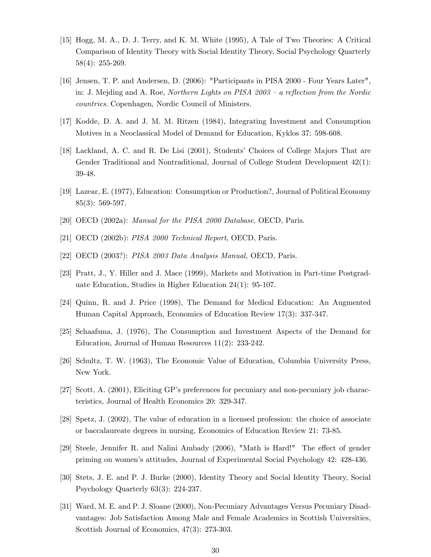- [15] Hogg, M. A., D. J. Terry, and K. M. White (1995), A Tale of Two Theories: A Critical Comparison of Identity Theory with Social Identity Theory, Social Psychology Quarterly 58(4): 255-269.
- [16] Jensen, T. P. and Andersen, D. (2006): "Participants in PISA 2000 Four Years Later", in: J. Mejding and A. Roe, Northern Lights on PISA  $2003 - a$  reflection from the Nordic countries. Copenhagen, Nordic Council of Ministers.
- [17] Kodde, D. A. and J. M. M. Ritzen (1984), Integrating Investment and Consumption Motives in a Neoclassical Model of Demand for Education, Kyklos 37: 598-608.
- [18] Lackland, A. C. and R. De Lisi (2001), Students' Choices of College Majors That are Gender Traditional and Nontraditional, Journal of College Student Development 42(1): 39-48.
- [19] Lazear, E. (1977), Education: Consumption or Production?, Journal of Political Economy 85(3): 569-597.
- [20] OECD (2002a): Manual for the PISA 2000 Database, OECD, Paris.
- [21] OECD (2002b): PISA 2000 Technical Report, OECD, Paris.
- [22] OECD (2003?): PISA 2003 Data Analysis Manual, OECD, Paris.
- [23] Pratt, J., Y. Hiller and J. Mace (1999), Markets and Motivation in Part-time Postgraduate Education, Studies in Higher Education 24(1): 95-107.
- [24] Quinn, R. and J. Price (1998), The Demand for Medical Education: An Augmented Human Capital Approach, Economics of Education Review 17(3): 337-347.
- [25] Schaafsma, J. (1976), The Consumption and Investment Aspects of the Demand for Education, Journal of Human Resources 11(2): 233-242.
- [26] Schultz, T. W. (1963), The Economic Value of Education, Columbia University Press, New York.
- [27] Scott, A. (2001), Eliciting GP's preferences for pecuniary and non-pecuniary job characteristics, Journal of Health Economics 20: 329-347.
- [28] Spetz, J. (2002), The value of education in a licensed profession: the choice of associate or baccalaureate degrees in nursing, Economics of Education Review 21: 73-85.
- [29] Steele, Jennifer R. and Nalini Ambady (2006), "Math is Hard!" The effect of gender priming on womenís attitudes, Journal of Experimental Social Psychology 42: 428-436.
- [30] Stets, J. E. and P. J. Burke (2000), Identity Theory and Social Identity Theory, Social Psychology Quarterly 63(3): 224-237.
- [31] Ward, M. E. and P. J. Sloane (2000), Non-Pecuniary Advantages Versus Pecuniary Disadvantages: Job Satisfaction Among Male and Female Academics in Scottish Universities, Scottish Journal of Economics, 47(3): 273-303.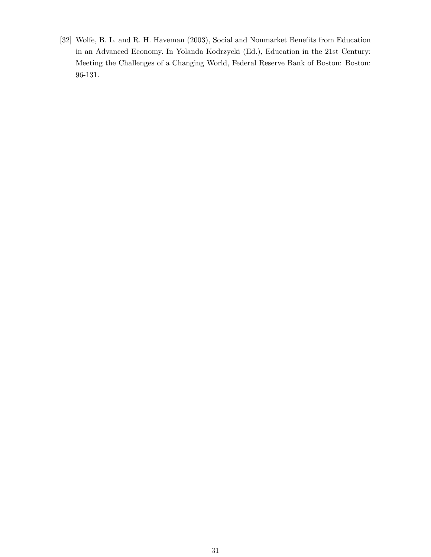[32] Wolfe, B. L. and R. H. Haveman (2003), Social and Nonmarket Benefits from Education in an Advanced Economy. In Yolanda Kodrzycki (Ed.), Education in the 21st Century: Meeting the Challenges of a Changing World, Federal Reserve Bank of Boston: Boston: 96-131.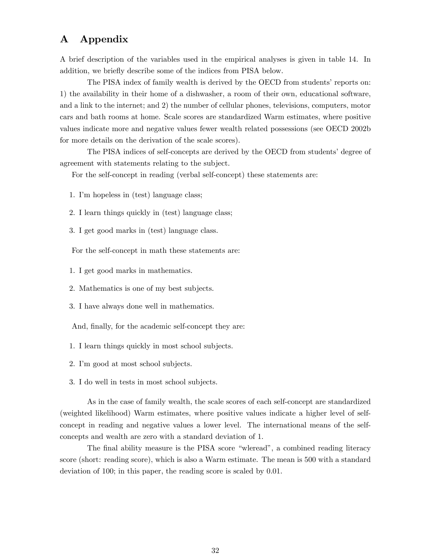## A Appendix

A brief description of the variables used in the empirical analyses is given in table 14. In addition, we briefly describe some of the indices from PISA below.

The PISA index of family wealth is derived by the OECD from students' reports on: 1) the availability in their home of a dishwasher, a room of their own, educational software, and a link to the internet; and 2) the number of cellular phones, televisions, computers, motor cars and bath rooms at home. Scale scores are standardized Warm estimates, where positive values indicate more and negative values fewer wealth related possessions (see OECD 2002b for more details on the derivation of the scale scores).

The PISA indices of self-concepts are derived by the OECD from students' degree of agreement with statements relating to the subject.

For the self-concept in reading (verbal self-concept) these statements are:

- 1. Iím hopeless in (test) language class;
- 2. I learn things quickly in (test) language class;
- 3. I get good marks in (test) language class.

For the self-concept in math these statements are:

- 1. I get good marks in mathematics.
- 2. Mathematics is one of my best subjects.
- 3. I have always done well in mathematics.

And, finally, for the academic self-concept they are:

- 1. I learn things quickly in most school subjects.
- 2. Iím good at most school subjects.
- 3. I do well in tests in most school subjects.

As in the case of family wealth, the scale scores of each self-concept are standardized (weighted likelihood) Warm estimates, where positive values indicate a higher level of selfconcept in reading and negative values a lower level. The international means of the selfconcepts and wealth are zero with a standard deviation of 1.

The final ability measure is the PISA score "wleread", a combined reading literacy score (short: reading score), which is also a Warm estimate. The mean is 500 with a standard deviation of 100; in this paper, the reading score is scaled by 0.01.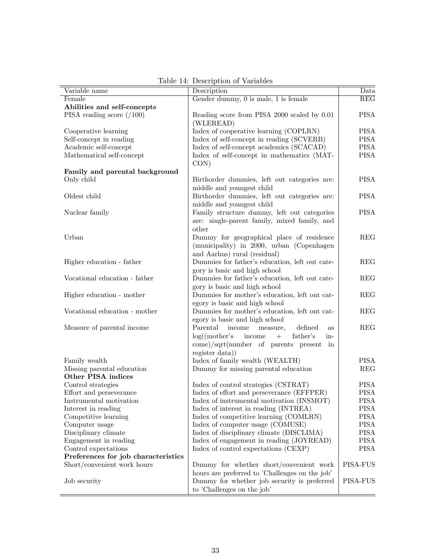| Variable name                       | Description                                                 | Data                    |
|-------------------------------------|-------------------------------------------------------------|-------------------------|
| Female                              | Gender dummy, $0$ is male, $1$ is female                    | $\overline{\text{REG}}$ |
| Abilities and self-concepts         |                                                             |                         |
| PISA reading score $(100)$          | Reading score from PISA 2000 scaled by 0.01                 | <b>PISA</b>             |
|                                     | (WLEREAD)                                                   |                         |
| Cooperative learning                | Index of cooperative learning (COPLRN)                      | <b>PISA</b>             |
| Self-concept in reading             | Index of self-concept in reading (SCVERB)                   | <b>PISA</b>             |
| Academic self-concept               | Index of self-concept academics (SCACAD)                    | <b>PISA</b>             |
| Mathematical self-concept           | Index of self-concept in mathematics (MAT-                  | <b>PISA</b>             |
|                                     | CON)                                                        |                         |
| Family and parental background      |                                                             |                         |
| Only child                          | Birthorder dummies, left out categories are:                | <b>PISA</b>             |
|                                     | middle and youngest child                                   |                         |
| Oldest child                        |                                                             | <b>PISA</b>             |
|                                     | Birthorder dummies, left out categories are:                |                         |
|                                     | middle and youngest child                                   |                         |
| Nuclear family                      | Family structure dummy, left out categories                 | <b>PISA</b>             |
|                                     | are: single-parent family, mixed family, and                |                         |
|                                     | other                                                       |                         |
| Urban                               | Dummy for geographical place of residence                   | <b>REG</b>              |
|                                     | (municipality) in 2000, urban (Copenhagen                   |                         |
|                                     | and Aarhus) rural (residual)                                |                         |
| Higher education - father           | Dummies for father's education, left out cate-              | <b>REG</b>              |
|                                     | gory is basic and high school                               |                         |
| Vocational education - father       | Dummies for father's education, left out cate-              | <b>REG</b>              |
|                                     | gory is basic and high school                               |                         |
| Higher education - mother           | Dummies for mother's education, left out cat-               | <b>REG</b>              |
|                                     | egory is basic and high school                              |                         |
| Vocational education - mother       | Dummies for mother's education, left out cat-               | <b>REG</b>              |
|                                     | egory is basic and high school                              |                         |
| Measure of parental income          | Parental<br>income<br>measure,<br>defined<br><b>as</b>      | <b>REG</b>              |
|                                     | $log((\text{mother's})$<br>income<br>$+$<br>father's<br>in- |                         |
|                                     | $comel/sqrt(number of parents present in$                   |                         |
|                                     | register data))                                             |                         |
| Family wealth                       | Index of family wealth (WEALTH)                             | <b>PISA</b>             |
| Missing parental education          | Dummy for missing parental education                        | <b>REG</b>              |
| Other PISA indices                  |                                                             |                         |
| Control strategies                  | Index of control strategies (CSTRAT)                        | <b>PISA</b>             |
| Effort and perseverance             | Index of effort and perseverance (EFFPER)                   | <b>PISA</b>             |
| Instrumental motivation             | Index of instrumental motivation (INSMOT)                   | <b>PISA</b>             |
| Interest in reading                 | Index of interest in reading (INTREA)                       | <b>PISA</b>             |
| Competitive learning                | Index of competitive learning (COMLRN)                      | <b>PISA</b>             |
| Computer usage                      | Index of computer usage (COMUSE)                            | <b>PISA</b>             |
| Disciplinary climate                | Index of disciplinary climate (DISCLIMA)                    | <b>PISA</b>             |
| Engagement in reading               | Index of engagement in reading (JOYREAD)                    | <b>PISA</b>             |
| Control expectations                | Index of control expectations (CEXP)                        | <b>PISA</b>             |
| Preferences for job characteristics |                                                             |                         |
| Short/convenient work hours         | Dummy for whether short/convenient work                     | PISA-FUS                |
|                                     | hours are preferred to 'Challenges on the job'              |                         |
| Job security                        | Dummy for whether job security is preferred                 | <b>PISA-FUS</b>         |
|                                     |                                                             |                         |
|                                     | to 'Challenges on the job'                                  |                         |

Table 14: Description of Variables